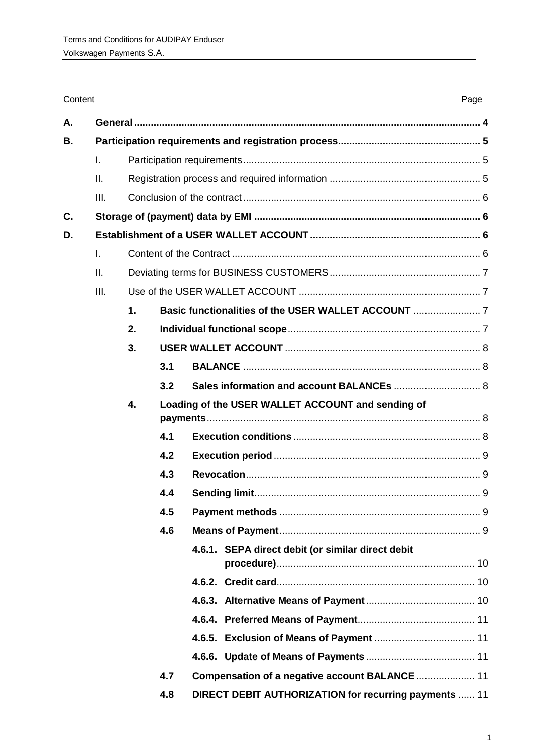| Content |      |    |     |                                                       |  |  |  |  |
|---------|------|----|-----|-------------------------------------------------------|--|--|--|--|
| А.      |      |    |     |                                                       |  |  |  |  |
| В.      |      |    |     |                                                       |  |  |  |  |
|         | I.   |    |     |                                                       |  |  |  |  |
|         | Ш.   |    |     |                                                       |  |  |  |  |
|         | III. |    |     |                                                       |  |  |  |  |
| C.      |      |    |     |                                                       |  |  |  |  |
| D.      |      |    |     |                                                       |  |  |  |  |
|         | I.   |    |     |                                                       |  |  |  |  |
|         | II.  |    |     |                                                       |  |  |  |  |
|         | III. |    |     |                                                       |  |  |  |  |
|         |      | 1. |     |                                                       |  |  |  |  |
|         |      | 2. |     |                                                       |  |  |  |  |
|         |      | 3. |     |                                                       |  |  |  |  |
|         |      |    | 3.1 |                                                       |  |  |  |  |
|         |      |    | 3.2 | Sales information and account BALANCEs  8             |  |  |  |  |
|         |      | 4. |     | Loading of the USER WALLET ACCOUNT and sending of     |  |  |  |  |
|         |      |    | 4.1 |                                                       |  |  |  |  |
|         |      |    | 4.2 |                                                       |  |  |  |  |
|         |      |    | 4.3 |                                                       |  |  |  |  |
|         |      |    | 4.4 |                                                       |  |  |  |  |
|         |      |    | 4.5 |                                                       |  |  |  |  |
|         |      |    | 4.6 |                                                       |  |  |  |  |
|         |      |    |     | 4.6.1. SEPA direct debit (or similar direct debit     |  |  |  |  |
|         |      |    |     |                                                       |  |  |  |  |
|         |      |    |     |                                                       |  |  |  |  |
|         |      |    |     |                                                       |  |  |  |  |
|         |      |    |     |                                                       |  |  |  |  |
|         |      |    |     |                                                       |  |  |  |  |
|         |      |    | 4.7 |                                                       |  |  |  |  |
|         |      |    | 4.8 | DIRECT DEBIT AUTHORIZATION for recurring payments  11 |  |  |  |  |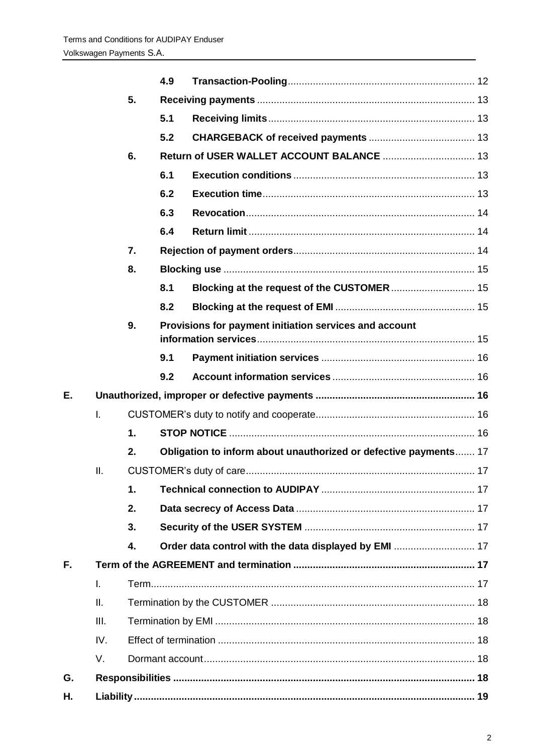|    |              |               | 4.9 |                                                                  |  |  |  |
|----|--------------|---------------|-----|------------------------------------------------------------------|--|--|--|
|    |              | 5.            |     |                                                                  |  |  |  |
|    |              |               | 5.1 |                                                                  |  |  |  |
|    |              |               | 5.2 |                                                                  |  |  |  |
|    |              | 6.            |     |                                                                  |  |  |  |
|    |              |               | 6.1 |                                                                  |  |  |  |
|    |              |               | 6.2 |                                                                  |  |  |  |
|    |              |               | 6.3 |                                                                  |  |  |  |
|    |              |               | 6.4 |                                                                  |  |  |  |
|    |              | 7.            |     |                                                                  |  |  |  |
|    |              | 8.            |     |                                                                  |  |  |  |
|    |              |               | 8.1 | Blocking at the request of the CUSTOMER  15                      |  |  |  |
|    |              |               | 8.2 |                                                                  |  |  |  |
|    |              | 9.            |     | Provisions for payment initiation services and account           |  |  |  |
|    |              |               | 9.1 |                                                                  |  |  |  |
|    |              |               | 9.2 |                                                                  |  |  |  |
| Ε. |              |               |     |                                                                  |  |  |  |
|    | $\mathsf{L}$ |               |     |                                                                  |  |  |  |
|    |              | $\mathbf 1$ . |     |                                                                  |  |  |  |
|    |              | 2.            |     | Obligation to inform about unauthorized or defective payments 17 |  |  |  |
|    | ΙΙ.          |               |     |                                                                  |  |  |  |
|    |              | 1.            |     |                                                                  |  |  |  |
|    |              | 2.            |     |                                                                  |  |  |  |
|    |              | 3.            |     |                                                                  |  |  |  |
|    |              | 4.            |     |                                                                  |  |  |  |
| F. |              |               |     |                                                                  |  |  |  |
|    | $\mathsf{L}$ |               |     |                                                                  |  |  |  |
|    | II.          |               |     |                                                                  |  |  |  |
|    | III.         |               |     |                                                                  |  |  |  |
|    | IV.          |               |     |                                                                  |  |  |  |
|    | V.           |               |     |                                                                  |  |  |  |
| G. |              |               |     |                                                                  |  |  |  |
| Η. |              |               |     |                                                                  |  |  |  |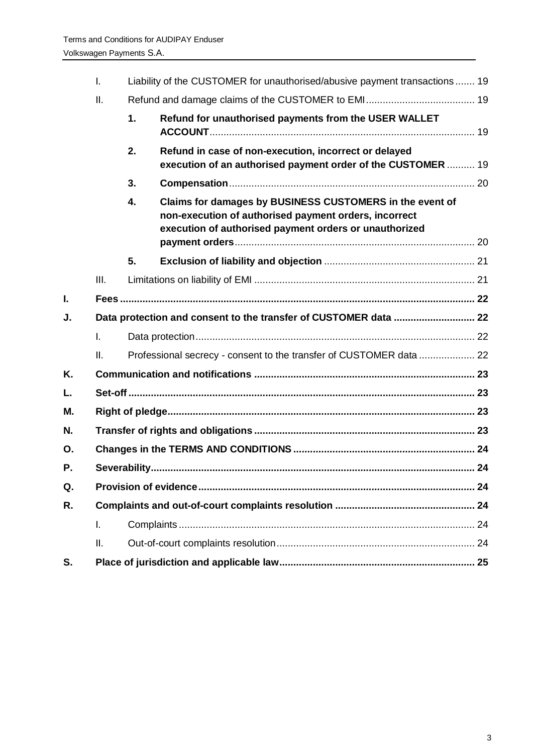|    | I.                                                               | Liability of the CUSTOMER for unauthorised/abusive payment transactions  19 |                                                                                                                                                                             |  |  |  |  |
|----|------------------------------------------------------------------|-----------------------------------------------------------------------------|-----------------------------------------------------------------------------------------------------------------------------------------------------------------------------|--|--|--|--|
|    | Ш.                                                               |                                                                             |                                                                                                                                                                             |  |  |  |  |
|    |                                                                  | 1.                                                                          | Refund for unauthorised payments from the USER WALLET                                                                                                                       |  |  |  |  |
|    |                                                                  | 2.                                                                          | Refund in case of non-execution, incorrect or delayed<br>execution of an authorised payment order of the CUSTOMER  19                                                       |  |  |  |  |
|    |                                                                  | 3.                                                                          |                                                                                                                                                                             |  |  |  |  |
|    |                                                                  | 4.                                                                          | Claims for damages by BUSINESS CUSTOMERS in the event of<br>non-execution of authorised payment orders, incorrect<br>execution of authorised payment orders or unauthorized |  |  |  |  |
|    |                                                                  | 5.                                                                          |                                                                                                                                                                             |  |  |  |  |
|    | III.                                                             |                                                                             |                                                                                                                                                                             |  |  |  |  |
| L  |                                                                  |                                                                             |                                                                                                                                                                             |  |  |  |  |
| J. | Data protection and consent to the transfer of CUSTOMER data  22 |                                                                             |                                                                                                                                                                             |  |  |  |  |
|    | I.                                                               |                                                                             |                                                                                                                                                                             |  |  |  |  |
|    | II.                                                              |                                                                             | Professional secrecy - consent to the transfer of CUSTOMER data  22                                                                                                         |  |  |  |  |
| Κ. |                                                                  |                                                                             |                                                                                                                                                                             |  |  |  |  |
| L. |                                                                  |                                                                             |                                                                                                                                                                             |  |  |  |  |
| М. |                                                                  |                                                                             |                                                                                                                                                                             |  |  |  |  |
| N. |                                                                  |                                                                             |                                                                                                                                                                             |  |  |  |  |
| Ο. |                                                                  |                                                                             |                                                                                                                                                                             |  |  |  |  |
| Ρ. |                                                                  |                                                                             |                                                                                                                                                                             |  |  |  |  |
| Q. |                                                                  |                                                                             |                                                                                                                                                                             |  |  |  |  |
| R. |                                                                  |                                                                             |                                                                                                                                                                             |  |  |  |  |
|    | I.                                                               |                                                                             |                                                                                                                                                                             |  |  |  |  |
|    | ΙΙ.                                                              |                                                                             |                                                                                                                                                                             |  |  |  |  |
| S. |                                                                  |                                                                             |                                                                                                                                                                             |  |  |  |  |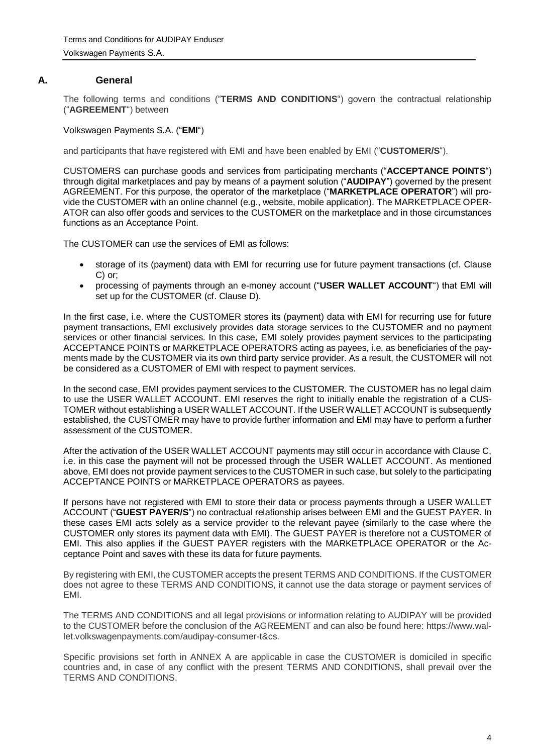## **A. General**

<span id="page-3-0"></span>The following terms and conditions ("**TERMS AND CONDITIONS**") govern the contractual relationship ("**AGREEMENT**") between

Volkswagen Payments S.A. ("**EMI**")

and participants that have registered with EMI and have been enabled by EMI ("**CUSTOMER/S**").

CUSTOMERS can purchase goods and services from participating merchants ("**ACCEPTANCE POINTS**") through digital marketplaces and pay by means of a payment solution ("**AUDIPAY**") governed by the present AGREEMENT. For this purpose, the operator of the marketplace ("**MARKETPLACE OPERATOR**") will provide the CUSTOMER with an online channel (e.g., website, mobile application). The MARKETPLACE OPER-ATOR can also offer goods and services to the CUSTOMER on the marketplace and in those circumstances functions as an Acceptance Point.

The CUSTOMER can use the services of EMI as follows:

- storage of its (payment) data with EMI for recurring use for future payment transactions (cf. Clause C) or;
- processing of payments through an e-money account ("**USER WALLET ACCOUNT**") that EMI will set up for the CUSTOMER (cf. Clause D).

In the first case, i.e. where the CUSTOMER stores its (payment) data with EMI for recurring use for future payment transactions, EMI exclusively provides data storage services to the CUSTOMER and no payment services or other financial services. In this case, EMI solely provides payment services to the participating ACCEPTANCE POINTS or MARKETPLACE OPERATORS acting as payees, i.e. as beneficiaries of the payments made by the CUSTOMER via its own third party service provider. As a result, the CUSTOMER will not be considered as a CUSTOMER of EMI with respect to payment services.

In the second case, EMI provides payment services to the CUSTOMER. The CUSTOMER has no legal claim to use the USER WALLET ACCOUNT. EMI reserves the right to initially enable the registration of a CUS-TOMER without establishing a USER WALLET ACCOUNT. If the USER WALLET ACCOUNT is subsequently established, the CUSTOMER may have to provide further information and EMI may have to perform a further assessment of the CUSTOMER.

After the activation of the USER WALLET ACCOUNT payments may still occur in accordance with Clause C, i.e. in this case the payment will not be processed through the USER WALLET ACCOUNT. As mentioned above, EMI does not provide payment services to the CUSTOMER in such case, but solely to the participating ACCEPTANCE POINTS or MARKETPLACE OPERATORS as payees.

If persons have not registered with EMI to store their data or process payments through a USER WALLET ACCOUNT ("**GUEST PAYER/S**") no contractual relationship arises between EMI and the GUEST PAYER. In these cases EMI acts solely as a service provider to the relevant payee (similarly to the case where the CUSTOMER only stores its payment data with EMI). The GUEST PAYER is therefore not a CUSTOMER of EMI. This also applies if the GUEST PAYER registers with the MARKETPLACE OPERATOR or the Acceptance Point and saves with these its data for future payments.

By registering with EMI, the CUSTOMER accepts the present TERMS AND CONDITIONS. If the CUSTOMER does not agree to these TERMS AND CONDITIONS, it cannot use the data storage or payment services of EMI.

The TERMS AND CONDITIONS and all legal provisions or information relating to AUDIPAY will be provided to the CUSTOMER before the conclusion of the AGREEMENT and can also be found here: https://www.wallet.volkswagenpayments.com/audipay-consumer-t&cs.

Specific provisions set forth in ANNEX A are applicable in case the CUSTOMER is domiciled in specific countries and, in case of any conflict with the present TERMS AND CONDITIONS, shall prevail over the TERMS AND CONDITIONS.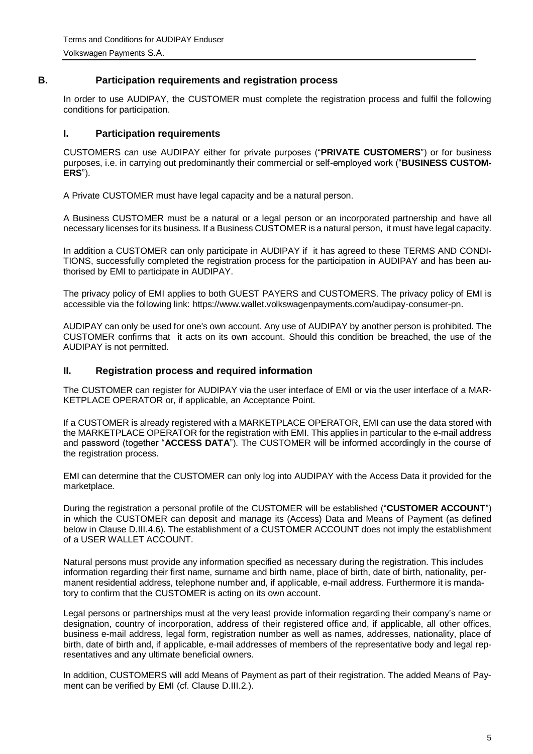# **B. Participation requirements and registration process**

<span id="page-4-0"></span>In order to use AUDIPAY, the CUSTOMER must complete the registration process and fulfil the following conditions for participation.

## <span id="page-4-1"></span>**I. Participation requirements**

CUSTOMERS can use AUDIPAY either for private purposes ("**PRIVATE CUSTOMERS**") or for business purposes, i.e. in carrying out predominantly their commercial or self-employed work ("**BUSINESS CUSTOM-ERS**").

A Private CUSTOMER must have legal capacity and be a natural person.

A Business CUSTOMER must be a natural or a legal person or an incorporated partnership and have all necessary licenses for its business. If a Business CUSTOMER is a natural person, it must have legal capacity.

In addition a CUSTOMER can only participate in AUDIPAY if it has agreed to these TERMS AND CONDI-TIONS, successfully completed the registration process for the participation in AUDIPAY and has been authorised by EMI to participate in AUDIPAY.

The privacy policy of EMI applies to both GUEST PAYERS and CUSTOMERS. The privacy policy of EMI is accessible via the following link: https://www.wallet.volkswagenpayments.com/audipay-consumer-pn.

AUDIPAY can only be used for one's own account. Any use of AUDIPAY by another person is prohibited. The CUSTOMER confirms that it acts on its own account. Should this condition be breached, the use of the AUDIPAY is not permitted.

#### <span id="page-4-2"></span>**II. Registration process and required information**

The CUSTOMER can register for AUDIPAY via the user interface of EMI or via the user interface of a MAR-KETPLACE OPERATOR or, if applicable, an Acceptance Point.

If a CUSTOMER is already registered with a MARKETPLACE OPERATOR, EMI can use the data stored with the MARKETPLACE OPERATOR for the registration with EMI. This applies in particular to the e-mail address and password (together "**ACCESS DATA**"). The CUSTOMER will be informed accordingly in the course of the registration process.

EMI can determine that the CUSTOMER can only log into AUDIPAY with the Access Data it provided for the marketplace.

During the registration a personal profile of the CUSTOMER will be established ("**CUSTOMER ACCOUNT**") in which the CUSTOMER can deposit and manage its (Access) Data and Means of Payment (as defined below in Clause D.III.4.6). The establishment of a CUSTOMER ACCOUNT does not imply the establishment of a USER WALLET ACCOUNT.

Natural persons must provide any information specified as necessary during the registration. This includes information regarding their first name, surname and birth name, place of birth, date of birth, nationality, permanent residential address, telephone number and, if applicable, e-mail address. Furthermore it is mandatory to confirm that the CUSTOMER is acting on its own account.

Legal persons or partnerships must at the very least provide information regarding their company's name or designation, country of incorporation, address of their registered office and, if applicable, all other offices, business e-mail address, legal form, registration number as well as names, addresses, nationality, place of birth, date of birth and, if applicable, e-mail addresses of members of the representative body and legal representatives and any ultimate beneficial owners.

In addition, CUSTOMERS will add Means of Payment as part of their registration. The added Means of Payment can be verified by EMI (cf. Clause D.III.2.).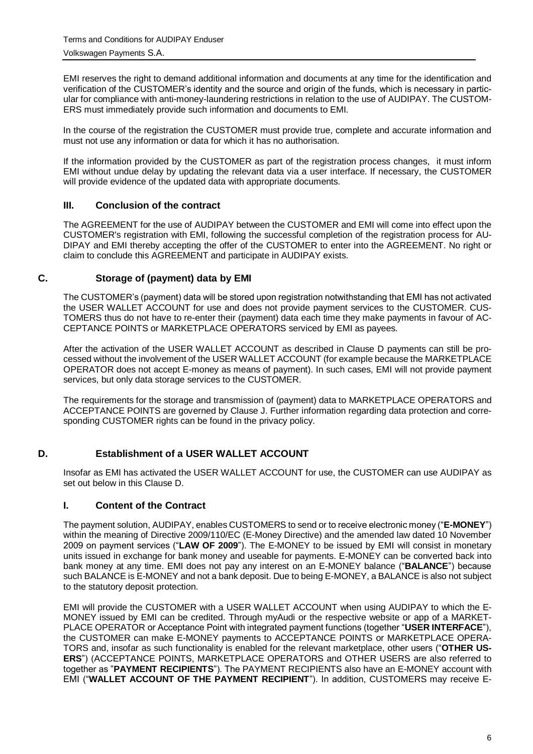EMI reserves the right to demand additional information and documents at any time for the identification and verification of the CUSTOMER's identity and the source and origin of the funds, which is necessary in particular for compliance with anti-money-laundering restrictions in relation to the use of AUDIPAY. The CUSTOM-ERS must immediately provide such information and documents to EMI.

In the course of the registration the CUSTOMER must provide true, complete and accurate information and must not use any information or data for which it has no authorisation.

If the information provided by the CUSTOMER as part of the registration process changes, it must inform EMI without undue delay by updating the relevant data via a user interface. If necessary, the CUSTOMER will provide evidence of the updated data with appropriate documents.

### <span id="page-5-0"></span>**III. Conclusion of the contract**

The AGREEMENT for the use of AUDIPAY between the CUSTOMER and EMI will come into effect upon the CUSTOMER's registration with EMI, following the successful completion of the registration process for AU-DIPAY and EMI thereby accepting the offer of the CUSTOMER to enter into the AGREEMENT. No right or claim to conclude this AGREEMENT and participate in AUDIPAY exists.

#### <span id="page-5-1"></span>**C. Storage of (payment) data by EMI**

The CUSTOMER's (payment) data will be stored upon registration notwithstanding that EMI has not activated the USER WALLET ACCOUNT for use and does not provide payment services to the CUSTOMER. CUS-TOMERS thus do not have to re-enter their (payment) data each time they make payments in favour of AC-CEPTANCE POINTS or MARKETPLACE OPERATORS serviced by EMI as payees.

After the activation of the USER WALLET ACCOUNT as described in Clause D payments can still be processed without the involvement of the USER WALLET ACCOUNT (for example because the MARKETPLACE OPERATOR does not accept E-money as means of payment). In such cases, EMI will not provide payment services, but only data storage services to the CUSTOMER.

The requirements for the storage and transmission of (payment) data to MARKETPLACE OPERATORS and ACCEPTANCE POINTS are governed by Clause J. Further information regarding data protection and corresponding CUSTOMER rights can be found in the privacy policy.

#### <span id="page-5-2"></span>**D. Establishment of a USER WALLET ACCOUNT**

Insofar as EMI has activated the USER WALLET ACCOUNT for use, the CUSTOMER can use AUDIPAY as set out below in this Clause D.

#### <span id="page-5-3"></span>**I. Content of the Contract**

The payment solution, AUDIPAY, enables CUSTOMERS to send or to receive electronic money ("**E-MONEY**") within the meaning of Directive 2009/110/EC (E-Money Directive) and the amended law dated 10 November 2009 on payment services ("**LAW OF 2009**"). The E-MONEY to be issued by EMI will consist in monetary units issued in exchange for bank money and useable for payments. E-MONEY can be converted back into bank money at any time. EMI does not pay any interest on an E-MONEY balance ("**BALANCE**") because such BALANCE is E-MONEY and not a bank deposit. Due to being E-MONEY, a BALANCE is also not subject to the statutory deposit protection.

EMI will provide the CUSTOMER with a USER WALLET ACCOUNT when using AUDIPAY to which the E-MONEY issued by EMI can be credited. Through myAudi or the respective website or app of a MARKET-PLACE OPERATOR or Acceptance Point with integrated payment functions (together "**USER INTERFACE**"), the CUSTOMER can make E-MONEY payments to ACCEPTANCE POINTS or MARKETPLACE OPERA-TORS and, insofar as such functionality is enabled for the relevant marketplace, other users ("**OTHER US-ERS**") (ACCEPTANCE POINTS, MARKETPLACE OPERATORS and OTHER USERS are also referred to together as "**PAYMENT RECIPIENTS**"). The PAYMENT RECIPIENTS also have an E-MONEY account with EMI ("**WALLET ACCOUNT OF THE PAYMENT RECIPIENT**"). In addition, CUSTOMERS may receive E-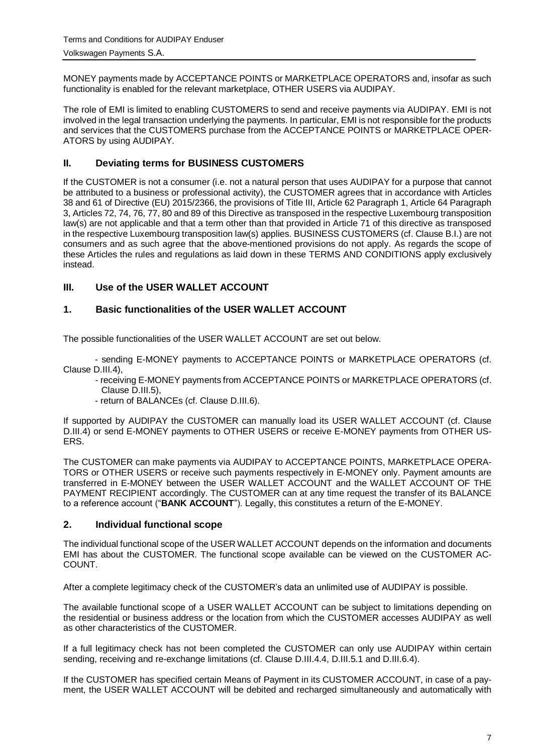MONEY payments made by ACCEPTANCE POINTS or MARKETPLACE OPERATORS and, insofar as such functionality is enabled for the relevant marketplace, OTHER USERS via AUDIPAY.

The role of EMI is limited to enabling CUSTOMERS to send and receive payments via AUDIPAY. EMI is not involved in the legal transaction underlying the payments. In particular, EMI is not responsible for the products and services that the CUSTOMERS purchase from the ACCEPTANCE POINTS or MARKETPLACE OPER-ATORS by using AUDIPAY.

# <span id="page-6-0"></span>**II. Deviating terms for BUSINESS CUSTOMERS**

If the CUSTOMER is not a consumer (i.e. not a natural person that uses AUDIPAY for a purpose that cannot be attributed to a business or professional activity), the CUSTOMER agrees that in accordance with Articles 38 and 61 of Directive (EU) 2015/2366, the provisions of Title III, Article 62 Paragraph 1, Article 64 Paragraph 3, Articles 72, 74, 76, 77, 80 and 89 of this Directive as transposed in the respective Luxembourg transposition law(s) are not applicable and that a term other than that provided in Article 71 of this directive as transposed in the respective Luxembourg transposition law(s) applies. BUSINESS CUSTOMERS (cf. Clause B.I.) are not consumers and as such agree that the above-mentioned provisions do not apply. As regards the scope of these Articles the rules and regulations as laid down in these TERMS AND CONDITIONS apply exclusively instead.

# <span id="page-6-1"></span>**III. Use of the USER WALLET ACCOUNT**

# <span id="page-6-2"></span>**1. Basic functionalities of the USER WALLET ACCOUNT**

The possible functionalities of the USER WALLET ACCOUNT are set out below.

- sending E-MONEY payments to ACCEPTANCE POINTS or MARKETPLACE OPERATORS (cf. Clause [D.III.4\)](#page-7-3),

- receiving E-MONEY payments from ACCEPTANCE POINTS or MARKETPLACE OPERATORS (cf. Clause D.III.5),
- return of BALANCEs (cf. Clause D.III.6).

If supported by AUDIPAY the CUSTOMER can manually load its USER WALLET ACCOUNT (cf. Clause D.III.4) or send E-MONEY payments to OTHER USERS or receive E-MONEY payments from OTHER US-ERS.

The CUSTOMER can make payments via AUDIPAY to ACCEPTANCE POINTS, MARKETPLACE OPERA-TORS or OTHER USERS or receive such payments respectively in E-MONEY only. Payment amounts are transferred in E-MONEY between the USER WALLET ACCOUNT and the WALLET ACCOUNT OF THE PAYMENT RECIPIENT accordingly. The CUSTOMER can at any time request the transfer of its BALANCE to a reference account ("**BANK ACCOUNT**"). Legally, this constitutes a return of the E-MONEY.

#### <span id="page-6-3"></span>**2. Individual functional scope**

The individual functional scope of the USER WALLET ACCOUNT depends on the information and documents EMI has about the CUSTOMER. The functional scope available can be viewed on the CUSTOMER AC-COUNT.

After a complete legitimacy check of the CUSTOMER's data an unlimited use of AUDIPAY is possible.

The available functional scope of a USER WALLET ACCOUNT can be subject to limitations depending on the residential or business address or the location from which the CUSTOMER accesses AUDIPAY as well as other characteristics of the CUSTOMER.

If a full legitimacy check has not been completed the CUSTOMER can only use AUDIPAY within certain sending, receiving and re-exchange limitations (cf. Clause D.III.4.4, D.III.5.1 and D.III.6.4).

If the CUSTOMER has specified certain Means of Payment in its CUSTOMER ACCOUNT, in case of a payment, the USER WALLET ACCOUNT will be debited and recharged simultaneously and automatically with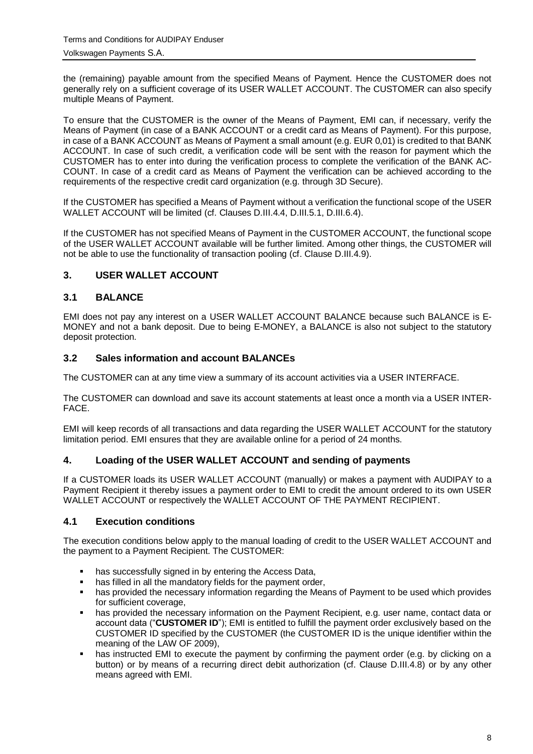the (remaining) payable amount from the specified Means of Payment. Hence the CUSTOMER does not generally rely on a sufficient coverage of its USER WALLET ACCOUNT. The CUSTOMER can also specify multiple Means of Payment.

To ensure that the CUSTOMER is the owner of the Means of Payment, EMI can, if necessary, verify the Means of Payment (in case of a BANK ACCOUNT or a credit card as Means of Payment). For this purpose, in case of a BANK ACCOUNT as Means of Payment a small amount (e.g. EUR 0,01) is credited to that BANK ACCOUNT. In case of such credit, a verification code will be sent with the reason for payment which the CUSTOMER has to enter into during the verification process to complete the verification of the BANK AC-COUNT. In case of a credit card as Means of Payment the verification can be achieved according to the requirements of the respective credit card organization (e.g. through 3D Secure).

If the CUSTOMER has specified a Means of Payment without a verification the functional scope of the USER WALLET ACCOUNT will be limited (cf. Clauses D.III.4.4, D.III.5.1, D.III.6.4).

If the CUSTOMER has not specified Means of Payment in the CUSTOMER ACCOUNT, the functional scope of the USER WALLET ACCOUNT available will be further limited. Among other things, the CUSTOMER will not be able to use the functionality of transaction pooling (cf. Clause [D.III.4.9\)](#page-11-0).

# <span id="page-7-0"></span>**3. USER WALLET ACCOUNT**

#### <span id="page-7-1"></span>**3.1 BALANCE**

EMI does not pay any interest on a USER WALLET ACCOUNT BALANCE because such BALANCE is E-MONEY and not a bank deposit. Due to being E-MONEY, a BALANCE is also not subject to the statutory deposit protection.

#### <span id="page-7-2"></span>**3.2 Sales information and account BALANCEs**

The CUSTOMER can at any time view a summary of its account activities via a USER INTERFACE.

The CUSTOMER can download and save its account statements at least once a month via a USER INTER-FACE.

EMI will keep records of all transactions and data regarding the USER WALLET ACCOUNT for the statutory limitation period. EMI ensures that they are available online for a period of 24 months.

#### <span id="page-7-3"></span>**4. Loading of the USER WALLET ACCOUNT and sending of payments**

If a CUSTOMER loads its USER WALLET ACCOUNT (manually) or makes a payment with AUDIPAY to a Payment Recipient it thereby issues a payment order to EMI to credit the amount ordered to its own USER WALLET ACCOUNT or respectively the WALLET ACCOUNT OF THE PAYMENT RECIPIENT.

#### <span id="page-7-4"></span>**4.1 Execution conditions**

The execution conditions below apply to the manual loading of credit to the USER WALLET ACCOUNT and the payment to a Payment Recipient. The CUSTOMER:

- has successfully signed in by entering the Access Data,
- has filled in all the mandatory fields for the payment order,<br>• has provided the necessary information regarding the Mea
- has provided the necessary information regarding the Means of Payment to be used which provides for sufficient coverage,
- has provided the necessary information on the Payment Recipient, e.g. user name, contact data or account data ("**CUSTOMER ID**"); EMI is entitled to fulfill the payment order exclusively based on the CUSTOMER ID specified by the CUSTOMER (the CUSTOMER ID is the unique identifier within the meaning of the LAW OF 2009),
- has instructed EMI to execute the payment by confirming the payment order (e.g. by clicking on a button) or by means of a recurring direct debit authorization (cf. Clause D.III.4.8) or by any other means agreed with EMI.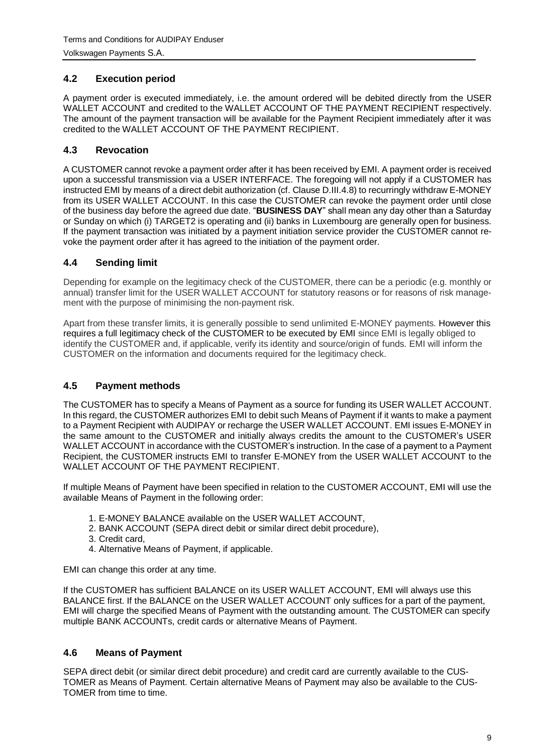# <span id="page-8-0"></span>**4.2 Execution period**

A payment order is executed immediately, i.e. the amount ordered will be debited directly from the USER WALLET ACCOUNT and credited to the WALLET ACCOUNT OF THE PAYMENT RECIPIENT respectively. The amount of the payment transaction will be available for the Payment Recipient immediately after it was credited to the WALLET ACCOUNT OF THE PAYMENT RECIPIENT.

# <span id="page-8-1"></span>**4.3 Revocation**

A CUSTOMER cannot revoke a payment order after it has been received by EMI. A payment order is received upon a successful transmission via a USER INTERFACE. The foregoing will not apply if a CUSTOMER has instructed EMI by means of a direct debit authorization (cf. Clause D.III.4.8) to recurringly withdraw E-MONEY from its USER WALLET ACCOUNT. In this case the CUSTOMER can revoke the payment order until close of the business day before the agreed due date. "**BUSINESS DAY**" shall mean any day other than a Saturday or Sunday on which (i) TARGET2 is operating and (ii) banks in Luxembourg are generally open for business. If the payment transaction was initiated by a payment initiation service provider the CUSTOMER cannot revoke the payment order after it has agreed to the initiation of the payment order.

# <span id="page-8-2"></span>**4.4 Sending limit**

Depending for example on the legitimacy check of the CUSTOMER, there can be a periodic (e.g. monthly or annual) transfer limit for the USER WALLET ACCOUNT for statutory reasons or for reasons of risk management with the purpose of minimising the non-payment risk.

Apart from these transfer limits, it is generally possible to send unlimited E-MONEY payments. However this requires a full legitimacy check of the CUSTOMER to be executed by EMI since EMI is legally obliged to identify the CUSTOMER and, if applicable, verify its identity and source/origin of funds. EMI will inform the CUSTOMER on the information and documents required for the legitimacy check.

# <span id="page-8-3"></span>**4.5 Payment methods**

The CUSTOMER has to specify a Means of Payment as a source for funding its USER WALLET ACCOUNT. In this regard, the CUSTOMER authorizes EMI to debit such Means of Payment if it wants to make a payment to a Payment Recipient with AUDIPAY or recharge the USER WALLET ACCOUNT. EMI issues E-MONEY in the same amount to the CUSTOMER and initially always credits the amount to the CUSTOMER's USER WALLET ACCOUNT in accordance with the CUSTOMER's instruction. In the case of a payment to a Payment Recipient, the CUSTOMER instructs EMI to transfer E-MONEY from the USER WALLET ACCOUNT to the WALLET ACCOUNT OF THE PAYMENT RECIPIENT.

If multiple Means of Payment have been specified in relation to the CUSTOMER ACCOUNT, EMI will use the available Means of Payment in the following order:

- 1. E-MONEY BALANCE available on the USER WALLET ACCOUNT,
- 2. BANK ACCOUNT (SEPA direct debit or similar direct debit procedure),
- 3. Credit card,
- 4. Alternative Means of Payment, if applicable.

EMI can change this order at any time.

If the CUSTOMER has sufficient BALANCE on its USER WALLET ACCOUNT, EMI will always use this BALANCE first. If the BALANCE on the USER WALLET ACCOUNT only suffices for a part of the payment, EMI will charge the specified Means of Payment with the outstanding amount. The CUSTOMER can specify multiple BANK ACCOUNTs, credit cards or alternative Means of Payment.

#### <span id="page-8-4"></span>**4.6 Means of Payment**

SEPA direct debit (or similar direct debit procedure) and credit card are currently available to the CUS-TOMER as Means of Payment. Certain alternative Means of Payment may also be available to the CUS-TOMER from time to time.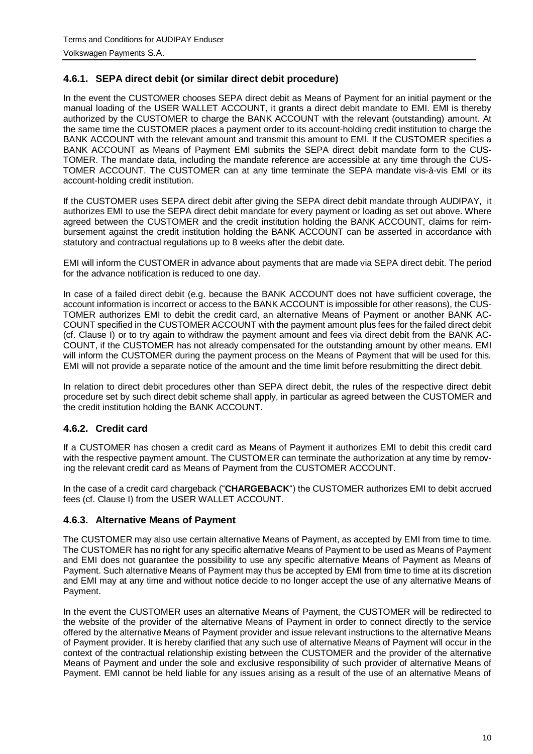# <span id="page-9-0"></span>**4.6.1. SEPA direct debit (or similar direct debit procedure)**

In the event the CUSTOMER chooses SEPA direct debit as Means of Payment for an initial payment or the manual loading of the USER WALLET ACCOUNT, it grants a direct debit mandate to EMI. EMI is thereby authorized by the CUSTOMER to charge the BANK ACCOUNT with the relevant (outstanding) amount. At the same time the CUSTOMER places a payment order to its account-holding credit institution to charge the BANK ACCOUNT with the relevant amount and transmit this amount to EMI. If the CUSTOMER specifies a BANK ACCOUNT as Means of Payment EMI submits the SEPA direct debit mandate form to the CUS-TOMER. The mandate data, including the mandate reference are accessible at any time through the CUS-TOMER ACCOUNT. The CUSTOMER can at any time terminate the SEPA mandate vis-à-vis EMI or its account-holding credit institution.

If the CUSTOMER uses SEPA direct debit after giving the SEPA direct debit mandate through AUDIPAY, it authorizes EMI to use the SEPA direct debit mandate for every payment or loading as set out above. Where agreed between the CUSTOMER and the credit institution holding the BANK ACCOUNT, claims for reimbursement against the credit institution holding the BANK ACCOUNT can be asserted in accordance with statutory and contractual regulations up to 8 weeks after the debit date.

EMI will inform the CUSTOMER in advance about payments that are made via SEPA direct debit. The period for the advance notification is reduced to one day.

In case of a failed direct debit (e.g. because the BANK ACCOUNT does not have sufficient coverage, the account information is incorrect or access to the BANK ACCOUNT is impossible for other reasons), the CUS-TOMER authorizes EMI to debit the credit card, an alternative Means of Payment or another BANK AC-COUNT specified in the CUSTOMER ACCOUNT with the payment amount plus fees for the failed direct debit (cf. Clause I) or to try again to withdraw the payment amount and fees via direct debit from the BANK AC-COUNT, if the CUSTOMER has not already compensated for the outstanding amount by other means. EMI will inform the CUSTOMER during the payment process on the Means of Payment that will be used for this. EMI will not provide a separate notice of the amount and the time limit before resubmitting the direct debit.

In relation to direct debit procedures other than SEPA direct debit, the rules of the respective direct debit procedure set by such direct debit scheme shall apply, in particular as agreed between the CUSTOMER and the credit institution holding the BANK ACCOUNT.

#### <span id="page-9-1"></span>**4.6.2. Credit card**

If a CUSTOMER has chosen a credit card as Means of Payment it authorizes EMI to debit this credit card with the respective payment amount. The CUSTOMER can terminate the authorization at any time by removing the relevant credit card as Means of Payment from the CUSTOMER ACCOUNT.

In the case of a credit card chargeback ("**CHARGEBACK**") the CUSTOMER authorizes EMI to debit accrued fees (cf. Clause I) from the USER WALLET ACCOUNT.

#### <span id="page-9-2"></span>**4.6.3. Alternative Means of Payment**

The CUSTOMER may also use certain alternative Means of Payment, as accepted by EMI from time to time. The CUSTOMER has no right for any specific alternative Means of Payment to be used as Means of Payment and EMI does not guarantee the possibility to use any specific alternative Means of Payment as Means of Payment. Such alternative Means of Payment may thus be accepted by EMI from time to time at its discretion and EMI may at any time and without notice decide to no longer accept the use of any alternative Means of Payment.

In the event the CUSTOMER uses an alternative Means of Payment, the CUSTOMER will be redirected to the website of the provider of the alternative Means of Payment in order to connect directly to the service offered by the alternative Means of Payment provider and issue relevant instructions to the alternative Means of Payment provider. It is hereby clarified that any such use of alternative Means of Payment will occur in the context of the contractual relationship existing between the CUSTOMER and the provider of the alternative Means of Payment and under the sole and exclusive responsibility of such provider of alternative Means of Payment. EMI cannot be held liable for any issues arising as a result of the use of an alternative Means of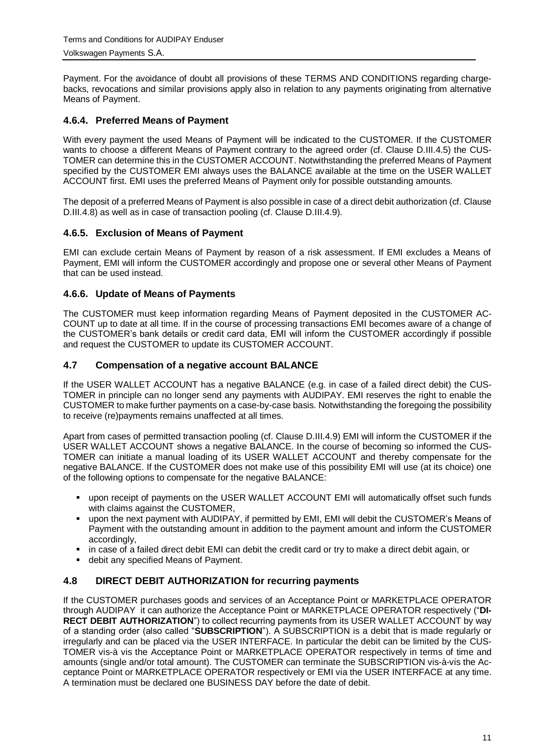Payment. For the avoidance of doubt all provisions of these TERMS AND CONDITIONS regarding chargebacks, revocations and similar provisions apply also in relation to any payments originating from alternative Means of Payment.

# <span id="page-10-0"></span>**4.6.4. Preferred Means of Payment**

With every payment the used Means of Payment will be indicated to the CUSTOMER. If the CUSTOMER wants to choose a different Means of Payment contrary to the agreed order (cf. Clause D.III.4.5) the CUS-TOMER can determine this in the CUSTOMER ACCOUNT. Notwithstanding the preferred Means of Payment specified by the CUSTOMER EMI always uses the BALANCE available at the time on the USER WALLET ACCOUNT first. EMI uses the preferred Means of Payment only for possible outstanding amounts.

The deposit of a preferred Means of Payment is also possible in case of a direct debit authorization (cf. Clause D.III.4.8) as well as in case of transaction pooling (cf. Clause D.III.4.9).

# <span id="page-10-1"></span>**4.6.5. Exclusion of Means of Payment**

EMI can exclude certain Means of Payment by reason of a risk assessment. If EMI excludes a Means of Payment, EMI will inform the CUSTOMER accordingly and propose one or several other Means of Payment that can be used instead.

# <span id="page-10-2"></span>**4.6.6. Update of Means of Payments**

The CUSTOMER must keep information regarding Means of Payment deposited in the CUSTOMER AC-COUNT up to date at all time. If in the course of processing transactions EMI becomes aware of a change of the CUSTOMER's bank details or credit card data, EMI will inform the CUSTOMER accordingly if possible and request the CUSTOMER to update its CUSTOMER ACCOUNT.

#### <span id="page-10-3"></span>**4.7 Compensation of a negative account BALANCE**

If the USER WALLET ACCOUNT has a negative BALANCE (e.g. in case of a failed direct debit) the CUS-TOMER in principle can no longer send any payments with AUDIPAY. EMI reserves the right to enable the CUSTOMER to make further payments on a case-by-case basis. Notwithstanding the foregoing the possibility to receive (re)payments remains unaffected at all times.

Apart from cases of permitted transaction pooling (cf. Clause D.III.4.9) EMI will inform the CUSTOMER if the USER WALLET ACCOUNT shows a negative BALANCE. In the course of becoming so informed the CUS-TOMER can initiate a manual loading of its USER WALLET ACCOUNT and thereby compensate for the negative BALANCE. If the CUSTOMER does not make use of this possibility EMI will use (at its choice) one of the following options to compensate for the negative BALANCE:

- upon receipt of payments on the USER WALLET ACCOUNT EMI will automatically offset such funds with claims against the CUSTOMER,
- upon the next payment with AUDIPAY, if permitted by EMI, EMI will debit the CUSTOMER's Means of Payment with the outstanding amount in addition to the payment amount and inform the CUSTOMER accordingly,
- in case of a failed direct debit EMI can debit the credit card or try to make a direct debit again, or
- debit any specified Means of Payment.

#### <span id="page-10-4"></span>**4.8 DIRECT DEBIT AUTHORIZATION for recurring payments**

If the CUSTOMER purchases goods and services of an Acceptance Point or MARKETPLACE OPERATOR through AUDIPAY it can authorize the Acceptance Point or MARKETPLACE OPERATOR respectively ("**DI-RECT DEBIT AUTHORIZATION**") to collect recurring payments from its USER WALLET ACCOUNT by way of a standing order (also called "**SUBSCRIPTION**"). A SUBSCRIPTION is a debit that is made regularly or irregularly and can be placed via the USER INTERFACE. In particular the debit can be limited by the CUS-TOMER vis-à vis the Acceptance Point or MARKETPLACE OPERATOR respectively in terms of time and amounts (single and/or total amount). The CUSTOMER can terminate the SUBSCRIPTION vis-à-vis the Acceptance Point or MARKETPLACE OPERATOR respectively or EMI via the USER INTERFACE at any time. A termination must be declared one BUSINESS DAY before the date of debit.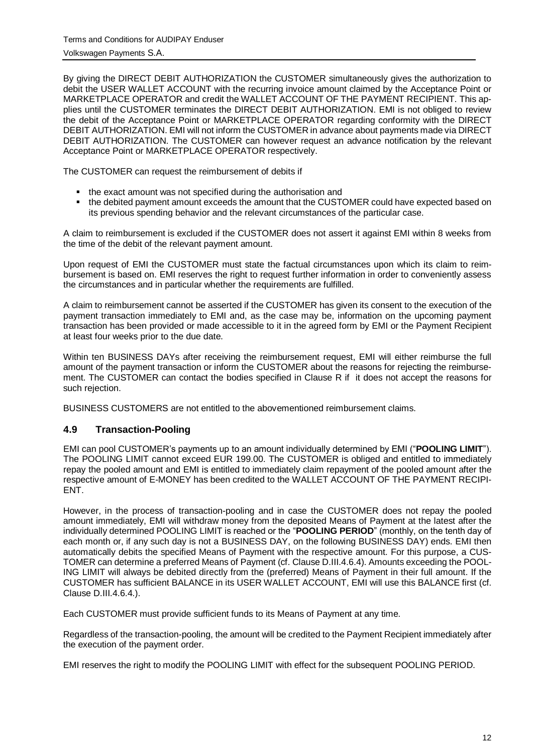By giving the DIRECT DEBIT AUTHORIZATION the CUSTOMER simultaneously gives the authorization to debit the USER WALLET ACCOUNT with the recurring invoice amount claimed by the Acceptance Point or MARKETPLACE OPERATOR and credit the WALLET ACCOUNT OF THE PAYMENT RECIPIENT. This applies until the CUSTOMER terminates the DIRECT DEBIT AUTHORIZATION. EMI is not obliged to review the debit of the Acceptance Point or MARKETPLACE OPERATOR regarding conformity with the DIRECT DEBIT AUTHORIZATION. EMI will not inform the CUSTOMER in advance about payments made via DIRECT DEBIT AUTHORIZATION. The CUSTOMER can however request an advance notification by the relevant Acceptance Point or MARKETPLACE OPERATOR respectively.

The CUSTOMER can request the reimbursement of debits if

- the exact amount was not specified during the authorisation and
- the debited payment amount exceeds the amount that the CUSTOMER could have expected based on its previous spending behavior and the relevant circumstances of the particular case.

A claim to reimbursement is excluded if the CUSTOMER does not assert it against EMI within 8 weeks from the time of the debit of the relevant payment amount.

Upon request of EMI the CUSTOMER must state the factual circumstances upon which its claim to reimbursement is based on. EMI reserves the right to request further information in order to conveniently assess the circumstances and in particular whether the requirements are fulfilled.

A claim to reimbursement cannot be asserted if the CUSTOMER has given its consent to the execution of the payment transaction immediately to EMI and, as the case may be, information on the upcoming payment transaction has been provided or made accessible to it in the agreed form by EMI or the Payment Recipient at least four weeks prior to the due date.

Within ten BUSINESS DAYs after receiving the reimbursement request, EMI will either reimburse the full amount of the payment transaction or inform the CUSTOMER about the reasons for rejecting the reimbursement. The CUSTOMER can contact the bodies specified in Clause R if it does not accept the reasons for such rejection.

BUSINESS CUSTOMERS are not entitled to the abovementioned reimbursement claims.

# <span id="page-11-0"></span>**4.9 Transaction-Pooling**

EMI can pool CUSTOMER's payments up to an amount individually determined by EMI ("**POOLING LIMIT**"). The POOLING LIMIT cannot exceed EUR 199.00. The CUSTOMER is obliged and entitled to immediately repay the pooled amount and EMI is entitled to immediately claim repayment of the pooled amount after the respective amount of E-MONEY has been credited to the WALLET ACCOUNT OF THE PAYMENT RECIPI-ENT.

However, in the process of transaction-pooling and in case the CUSTOMER does not repay the pooled amount immediately, EMI will withdraw money from the deposited Means of Payment at the latest after the individually determined POOLING LIMIT is reached or the "**POOLING PERIOD**" (monthly, on the tenth day of each month or, if any such day is not a BUSINESS DAY, on the following BUSINESS DAY) ends. EMI then automatically debits the specified Means of Payment with the respective amount. For this purpose, a CUS-TOMER can determine a preferred Means of Payment (cf. Clause D.III.4.6.4). Amounts exceeding the POOL-ING LIMIT will always be debited directly from the (preferred) Means of Payment in their full amount. If the CUSTOMER has sufficient BALANCE in its USER WALLET ACCOUNT, EMI will use this BALANCE first (cf. Clause D.III.4.6.4.).

Each CUSTOMER must provide sufficient funds to its Means of Payment at any time.

Regardless of the transaction-pooling, the amount will be credited to the Payment Recipient immediately after the execution of the payment order.

EMI reserves the right to modify the POOLING LIMIT with effect for the subsequent POOLING PERIOD.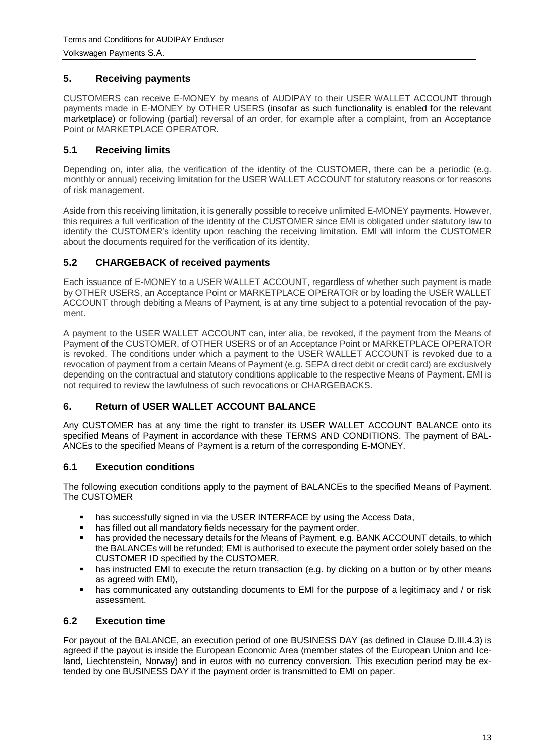# <span id="page-12-0"></span>**5. Receiving payments**

CUSTOMERS can receive E-MONEY by means of AUDIPAY to their USER WALLET ACCOUNT through payments made in E-MONEY by OTHER USERS (insofar as such functionality is enabled for the relevant marketplace) or following (partial) reversal of an order, for example after a complaint, from an Acceptance Point or MARKETPLACE OPERATOR.

# <span id="page-12-1"></span>**5.1 Receiving limits**

Depending on, inter alia, the verification of the identity of the CUSTOMER, there can be a periodic (e.g. monthly or annual) receiving limitation for the USER WALLET ACCOUNT for statutory reasons or for reasons of risk management.

Aside from this receiving limitation, it is generally possible to receive unlimited E-MONEY payments. However, this requires a full verification of the identity of the CUSTOMER since EMI is obligated under statutory law to identify the CUSTOMER's identity upon reaching the receiving limitation. EMI will inform the CUSTOMER about the documents required for the verification of its identity.

#### <span id="page-12-2"></span>**5.2 CHARGEBACK of received payments**

Each issuance of E-MONEY to a USER WALLET ACCOUNT, regardless of whether such payment is made by OTHER USERS, an Acceptance Point or MARKETPLACE OPERATOR or by loading the USER WALLET ACCOUNT through debiting a Means of Payment, is at any time subject to a potential revocation of the payment.

A payment to the USER WALLET ACCOUNT can, inter alia, be revoked, if the payment from the Means of Payment of the CUSTOMER, of OTHER USERS or of an Acceptance Point or MARKETPLACE OPERATOR is revoked. The conditions under which a payment to the USER WALLET ACCOUNT is revoked due to a revocation of payment from a certain Means of Payment (e.g. SEPA direct debit or credit card) are exclusively depending on the contractual and statutory conditions applicable to the respective Means of Payment. EMI is not required to review the lawfulness of such revocations or CHARGEBACKS.

#### <span id="page-12-3"></span>**6. Return of USER WALLET ACCOUNT BALANCE**

Any CUSTOMER has at any time the right to transfer its USER WALLET ACCOUNT BALANCE onto its specified Means of Payment in accordance with these TERMS AND CONDITIONS. The payment of BAL-ANCEs to the specified Means of Payment is a return of the corresponding E-MONEY.

#### <span id="page-12-4"></span>**6.1 Execution conditions**

The following execution conditions apply to the payment of BALANCEs to the specified Means of Payment. The CUSTOMER

- has successfully signed in via the USER INTERFACE by using the Access Data,
- **has filled out all mandatory fields necessary for the payment order,**
- has provided the necessary details for the Means of Payment, e.g. BANK ACCOUNT details, to which the BALANCEs will be refunded; EMI is authorised to execute the payment order solely based on the CUSTOMER ID specified by the CUSTOMER,
- has instructed EMI to execute the return transaction (e.g. by clicking on a button or by other means as agreed with EMI),
- has communicated any outstanding documents to EMI for the purpose of a legitimacy and / or risk assessment.

#### <span id="page-12-5"></span>**6.2 Execution time**

For payout of the BALANCE, an execution period of one BUSINESS DAY (as defined in Clause D.III.4.3) is agreed if the payout is inside the European Economic Area (member states of the European Union and Iceland, Liechtenstein, Norway) and in euros with no currency conversion. This execution period may be extended by one BUSINESS DAY if the payment order is transmitted to EMI on paper.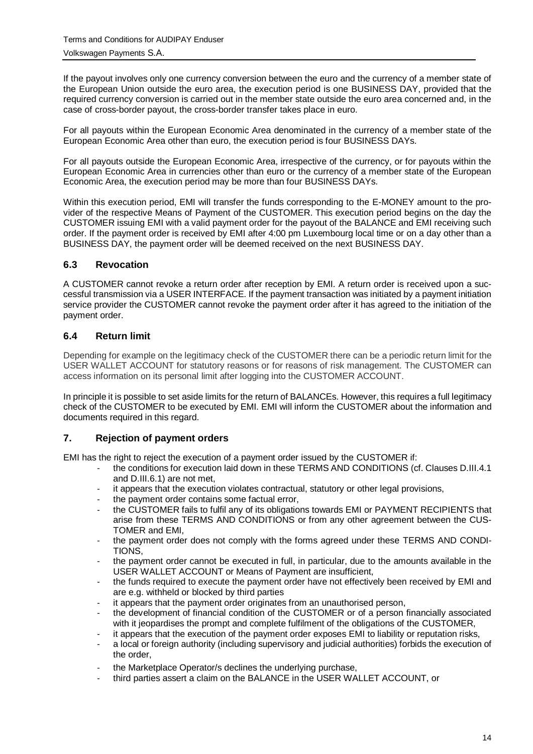If the payout involves only one currency conversion between the euro and the currency of a member state of the European Union outside the euro area, the execution period is one BUSINESS DAY, provided that the required currency conversion is carried out in the member state outside the euro area concerned and, in the case of cross-border payout, the cross-border transfer takes place in euro.

For all payouts within the European Economic Area denominated in the currency of a member state of the European Economic Area other than euro, the execution period is four BUSINESS DAYs.

For all payouts outside the European Economic Area, irrespective of the currency, or for payouts within the European Economic Area in currencies other than euro or the currency of a member state of the European Economic Area, the execution period may be more than four BUSINESS DAYs.

Within this execution period, EMI will transfer the funds corresponding to the E-MONEY amount to the provider of the respective Means of Payment of the CUSTOMER. This execution period begins on the day the CUSTOMER issuing EMI with a valid payment order for the payout of the BALANCE and EMI receiving such order. If the payment order is received by EMI after 4:00 pm Luxembourg local time or on a day other than a BUSINESS DAY, the payment order will be deemed received on the next BUSINESS DAY.

# <span id="page-13-0"></span>**6.3 Revocation**

A CUSTOMER cannot revoke a return order after reception by EMI. A return order is received upon a successful transmission via a USER INTERFACE. If the payment transaction was initiated by a payment initiation service provider the CUSTOMER cannot revoke the payment order after it has agreed to the initiation of the payment order.

# <span id="page-13-1"></span>**6.4 Return limit**

Depending for example on the legitimacy check of the CUSTOMER there can be a periodic return limit for the USER WALLET ACCOUNT for statutory reasons or for reasons of risk management. The CUSTOMER can access information on its personal limit after logging into the CUSTOMER ACCOUNT.

In principle it is possible to set aside limits for the return of BALANCEs. However, this requires a full legitimacy check of the CUSTOMER to be executed by EMI. EMI will inform the CUSTOMER about the information and documents required in this regard.

#### <span id="page-13-2"></span>**7. Rejection of payment orders**

EMI has the right to reject the execution of a payment order issued by the CUSTOMER if:

- the conditions for execution laid down in these TERMS AND CONDITIONS (cf. Clauses D.III.4.1) and D.III.6.1) are not met,
- it appears that the execution violates contractual, statutory or other legal provisions,
- the payment order contains some factual error,
- the CUSTOMER fails to fulfil any of its obligations towards EMI or PAYMENT RECIPIENTS that arise from these TERMS AND CONDITIONS or from any other agreement between the CUS-TOMER and EMI,
- the payment order does not comply with the forms agreed under these TERMS AND CONDI-TIONS,
- the payment order cannot be executed in full, in particular, due to the amounts available in the USER WALLET ACCOUNT or Means of Payment are insufficient,
- the funds required to execute the payment order have not effectively been received by EMI and are e.g. withheld or blocked by third parties
- it appears that the payment order originates from an unauthorised person,
- the development of financial condition of the CUSTOMER or of a person financially associated with it jeopardises the prompt and complete fulfilment of the obligations of the CUSTOMER.
- it appears that the execution of the payment order exposes EMI to liability or reputation risks.
- a local or foreign authority (including supervisory and judicial authorities) forbids the execution of the order,
- the Marketplace Operator/s declines the underlying purchase,
- third parties assert a claim on the BALANCE in the USER WALLET ACCOUNT, or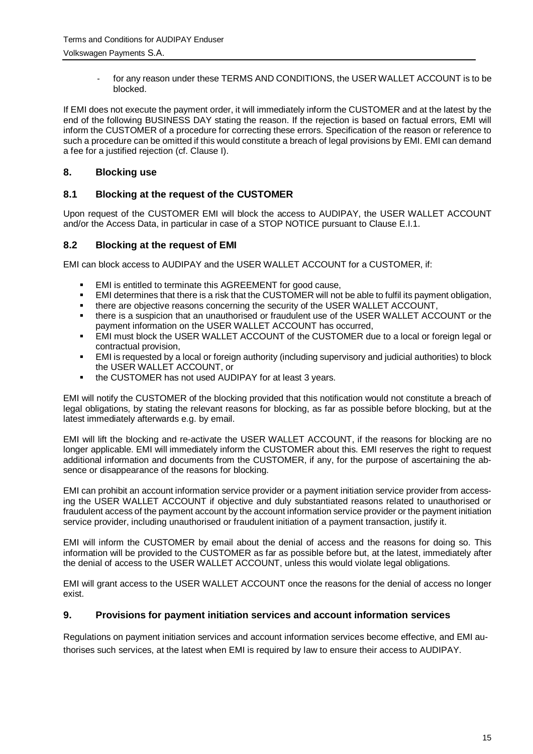for any reason under these TERMS AND CONDITIONS, the USER WALLET ACCOUNT is to be blocked.

If EMI does not execute the payment order, it will immediately inform the CUSTOMER and at the latest by the end of the following BUSINESS DAY stating the reason. If the rejection is based on factual errors, EMI will inform the CUSTOMER of a procedure for correcting these errors. Specification of the reason or reference to such a procedure can be omitted if this would constitute a breach of legal provisions by EMI. EMI can demand a fee for a justified rejection (cf. Clause I).

# <span id="page-14-0"></span>**8. Blocking use**

# <span id="page-14-1"></span>**8.1 Blocking at the request of the CUSTOMER**

Upon request of the CUSTOMER EMI will block the access to AUDIPAY, the USER WALLET ACCOUNT and/or the Access Data, in particular in case of a STOP NOTICE pursuant to Clause E.I.1.

# <span id="page-14-2"></span>**8.2 Blocking at the request of EMI**

EMI can block access to AUDIPAY and the USER WALLET ACCOUNT for a CUSTOMER, if:

- EMI is entitled to terminate this AGREEMENT for good cause,
- EMI determines that there is a risk that the CUSTOMER will not be able to fulfil its payment obligation,
- there are objective reasons concerning the security of the USER WALLET ACCOUNT,
- there is a suspicion that an unauthorised or fraudulent use of the USER WALLET ACCOUNT or the payment information on the USER WALLET ACCOUNT has occurred,
- EMI must block the USER WALLET ACCOUNT of the CUSTOMER due to a local or foreign legal or contractual provision,
- EMI is requested by a local or foreign authority (including supervisory and judicial authorities) to block the USER WALLET ACCOUNT, or
- the CUSTOMER has not used AUDIPAY for at least 3 years.

EMI will notify the CUSTOMER of the blocking provided that this notification would not constitute a breach of legal obligations, by stating the relevant reasons for blocking, as far as possible before blocking, but at the latest immediately afterwards e.g. by email.

EMI will lift the blocking and re-activate the USER WALLET ACCOUNT, if the reasons for blocking are no longer applicable. EMI will immediately inform the CUSTOMER about this. EMI reserves the right to request additional information and documents from the CUSTOMER, if any, for the purpose of ascertaining the absence or disappearance of the reasons for blocking.

EMI can prohibit an account information service provider or a payment initiation service provider from accessing the USER WALLET ACCOUNT if objective and duly substantiated reasons related to unauthorised or fraudulent access of the payment account by the account information service provider or the payment initiation service provider, including unauthorised or fraudulent initiation of a payment transaction, justify it.

EMI will inform the CUSTOMER by email about the denial of access and the reasons for doing so. This information will be provided to the CUSTOMER as far as possible before but, at the latest, immediately after the denial of access to the USER WALLET ACCOUNT, unless this would violate legal obligations.

EMI will grant access to the USER WALLET ACCOUNT once the reasons for the denial of access no longer exist.

#### <span id="page-14-3"></span>**9. Provisions for payment initiation services and account information services**

Regulations on payment initiation services and account information services become effective, and EMI authorises such services, at the latest when EMI is required by law to ensure their access to AUDIPAY.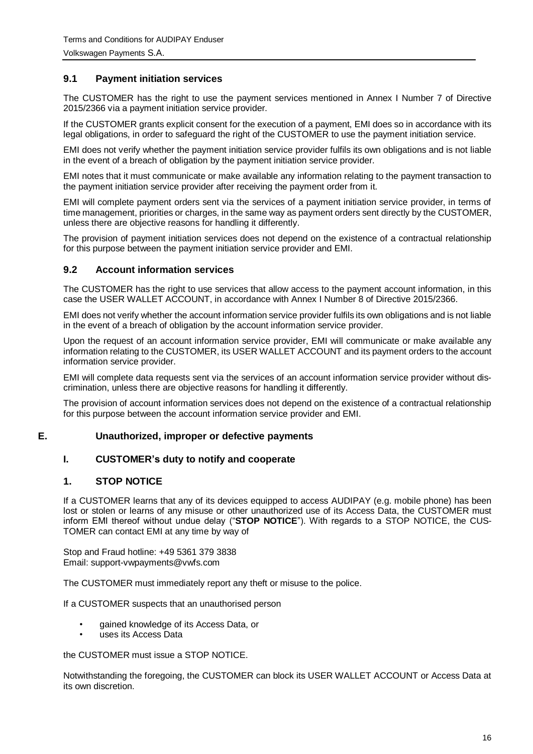#### <span id="page-15-0"></span>**9.1 Payment initiation services**

The CUSTOMER has the right to use the payment services mentioned in Annex I Number 7 of Directive 2015/2366 via a payment initiation service provider.

If the CUSTOMER grants explicit consent for the execution of a payment, EMI does so in accordance with its legal obligations, in order to safeguard the right of the CUSTOMER to use the payment initiation service.

EMI does not verify whether the payment initiation service provider fulfils its own obligations and is not liable in the event of a breach of obligation by the payment initiation service provider.

EMI notes that it must communicate or make available any information relating to the payment transaction to the payment initiation service provider after receiving the payment order from it.

EMI will complete payment orders sent via the services of a payment initiation service provider, in terms of time management, priorities or charges, in the same way as payment orders sent directly by the CUSTOMER, unless there are objective reasons for handling it differently.

The provision of payment initiation services does not depend on the existence of a contractual relationship for this purpose between the payment initiation service provider and EMI.

#### <span id="page-15-1"></span>**9.2 Account information services**

The CUSTOMER has the right to use services that allow access to the payment account information, in this case the USER WALLET ACCOUNT, in accordance with Annex I Number 8 of Directive 2015/2366.

EMI does not verify whether the account information service provider fulfils its own obligations and is not liable in the event of a breach of obligation by the account information service provider.

Upon the request of an account information service provider, EMI will communicate or make available any information relating to the CUSTOMER, its USER WALLET ACCOUNT and its payment orders to the account information service provider.

EMI will complete data requests sent via the services of an account information service provider without discrimination, unless there are objective reasons for handling it differently.

<span id="page-15-2"></span>The provision of account information services does not depend on the existence of a contractual relationship for this purpose between the account information service provider and EMI.

#### **E. Unauthorized, improper or defective payments**

#### <span id="page-15-3"></span>**I. CUSTOMER's duty to notify and cooperate**

#### <span id="page-15-4"></span>**1. STOP NOTICE**

If a CUSTOMER learns that any of its devices equipped to access AUDIPAY (e.g. mobile phone) has been lost or stolen or learns of any misuse or other unauthorized use of its Access Data, the CUSTOMER must inform EMI thereof without undue delay ("**STOP NOTICE**"). With regards to a STOP NOTICE, the CUS-TOMER can contact EMI at any time by way of

Stop and Fraud hotline: +49 5361 379 3838 Email: support-vwpayments@vwfs.com

The CUSTOMER must immediately report any theft or misuse to the police.

If a CUSTOMER suspects that an unauthorised person

- gained knowledge of its Access Data, or
- uses its Access Data

the CUSTOMER must issue a STOP NOTICE.

Notwithstanding the foregoing, the CUSTOMER can block its USER WALLET ACCOUNT or Access Data at its own discretion.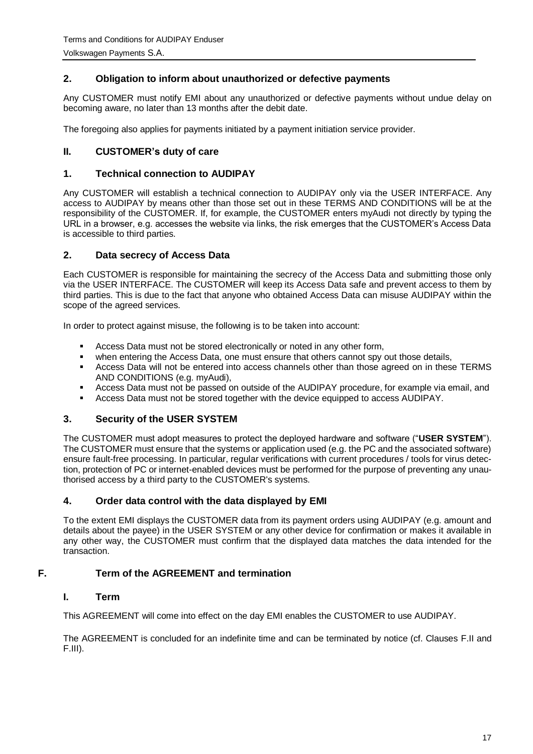# <span id="page-16-0"></span>**2. Obligation to inform about unauthorized or defective payments**

Any CUSTOMER must notify EMI about any unauthorized or defective payments without undue delay on becoming aware, no later than 13 months after the debit date.

<span id="page-16-1"></span>The foregoing also applies for payments initiated by a payment initiation service provider.

# **II. CUSTOMER's duty of care**

#### <span id="page-16-2"></span>**1. Technical connection to AUDIPAY**

Any CUSTOMER will establish a technical connection to AUDIPAY only via the USER INTERFACE. Any access to AUDIPAY by means other than those set out in these TERMS AND CONDITIONS will be at the responsibility of the CUSTOMER. If, for example, the CUSTOMER enters myAudi not directly by typing the URL in a browser, e.g. accesses the website via links, the risk emerges that the CUSTOMER's Access Data is accessible to third parties.

#### <span id="page-16-3"></span>**2. Data secrecy of Access Data**

Each CUSTOMER is responsible for maintaining the secrecy of the Access Data and submitting those only via the USER INTERFACE. The CUSTOMER will keep its Access Data safe and prevent access to them by third parties. This is due to the fact that anyone who obtained Access Data can misuse AUDIPAY within the scope of the agreed services.

In order to protect against misuse, the following is to be taken into account:

- **Access Data must not be stored electronically or noted in any other form,**
- when entering the Access Data, one must ensure that others cannot spy out those details,
- **Access Data will not be entered into access channels other than those agreed on in these TERMS** AND CONDITIONS (e.g. myAudi),
- Access Data must not be passed on outside of the AUDIPAY procedure, for example via email, and
- Access Data must not be stored together with the device equipped to access AUDIPAY.

#### <span id="page-16-4"></span>**3. Security of the USER SYSTEM**

The CUSTOMER must adopt measures to protect the deployed hardware and software ("**USER SYSTEM**"). The CUSTOMER must ensure that the systems or application used (e.g. the PC and the associated software) ensure fault-free processing. In particular, regular verifications with current procedures / tools for virus detection, protection of PC or internet-enabled devices must be performed for the purpose of preventing any unauthorised access by a third party to the CUSTOMER's systems.

#### <span id="page-16-5"></span>**4. Order data control with the data displayed by EMI**

To the extent EMI displays the CUSTOMER data from its payment orders using AUDIPAY (e.g. amount and details about the payee) in the USER SYSTEM or any other device for confirmation or makes it available in any other way, the CUSTOMER must confirm that the displayed data matches the data intended for the transaction.

#### <span id="page-16-6"></span>**F. Term of the AGREEMENT and termination**

#### <span id="page-16-7"></span>**I. Term**

This AGREEMENT will come into effect on the day EMI enables the CUSTOMER to use AUDIPAY.

The AGREEMENT is concluded for an indefinite time and can be terminated by notice (cf. Clauses F.II and F.III).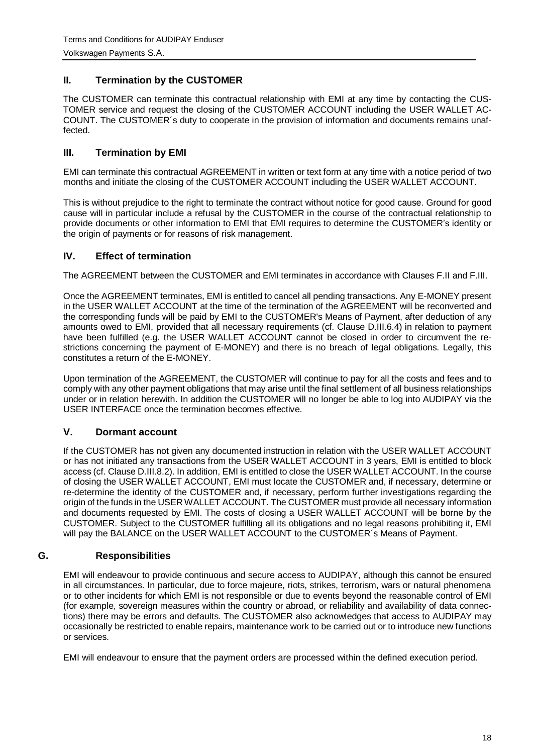# <span id="page-17-0"></span>**II. Termination by the CUSTOMER**

The CUSTOMER can terminate this contractual relationship with EMI at any time by contacting the CUS-TOMER service and request the closing of the CUSTOMER ACCOUNT including the USER WALLET AC-COUNT. The CUSTOMER´s duty to cooperate in the provision of information and documents remains unaffected.

# <span id="page-17-1"></span>**III. Termination by EMI**

EMI can terminate this contractual AGREEMENT in written or text form at any time with a notice period of two months and initiate the closing of the CUSTOMER ACCOUNT including the USER WALLET ACCOUNT.

This is without prejudice to the right to terminate the contract without notice for good cause. Ground for good cause will in particular include a refusal by the CUSTOMER in the course of the contractual relationship to provide documents or other information to EMI that EMI requires to determine the CUSTOMER's identity or the origin of payments or for reasons of risk management.

# <span id="page-17-2"></span>**IV. Effect of termination**

The AGREEMENT between the CUSTOMER and EMI terminates in accordance with Clauses F.II and F.III.

Once the AGREEMENT terminates, EMI is entitled to cancel all pending transactions. Any E-MONEY present in the USER WALLET ACCOUNT at the time of the termination of the AGREEMENT will be reconverted and the corresponding funds will be paid by EMI to the CUSTOMER's Means of Payment, after deduction of any amounts owed to EMI, provided that all necessary requirements (cf. Clause D.III.6.4) in relation to payment have been fulfilled (e.g. the USER WALLET ACCOUNT cannot be closed in order to circumvent the restrictions concerning the payment of E-MONEY) and there is no breach of legal obligations. Legally, this constitutes a return of the E-MONEY.

Upon termination of the AGREEMENT, the CUSTOMER will continue to pay for all the costs and fees and to comply with any other payment obligations that may arise until the final settlement of all business relationships under or in relation herewith. In addition the CUSTOMER will no longer be able to log into AUDIPAY via the USER INTERFACE once the termination becomes effective.

# <span id="page-17-3"></span>**V. Dormant account**

If the CUSTOMER has not given any documented instruction in relation with the USER WALLET ACCOUNT or has not initiated any transactions from the USER WALLET ACCOUNT in 3 years, EMI is entitled to block access (cf. Clause D.III.8.2). In addition, EMI is entitled to close the USER WALLET ACCOUNT. In the course of closing the USER WALLET ACCOUNT, EMI must locate the CUSTOMER and, if necessary, determine or re-determine the identity of the CUSTOMER and, if necessary, perform further investigations regarding the origin of the funds in the USER WALLET ACCOUNT. The CUSTOMER must provide all necessary information and documents requested by EMI. The costs of closing a USER WALLET ACCOUNT will be borne by the CUSTOMER. Subject to the CUSTOMER fulfilling all its obligations and no legal reasons prohibiting it, EMI will pay the BALANCE on the USER WALLET ACCOUNT to the CUSTOMER's Means of Payment.

# <span id="page-17-4"></span>**G. Responsibilities**

EMI will endeavour to provide continuous and secure access to AUDIPAY, although this cannot be ensured in all circumstances. In particular, due to force majeure, riots, strikes, terrorism, wars or natural phenomena or to other incidents for which EMI is not responsible or due to events beyond the reasonable control of EMI (for example, sovereign measures within the country or abroad, or reliability and availability of data connections) there may be errors and defaults. The CUSTOMER also acknowledges that access to AUDIPAY may occasionally be restricted to enable repairs, maintenance work to be carried out or to introduce new functions or services.

EMI will endeavour to ensure that the payment orders are processed within the defined execution period.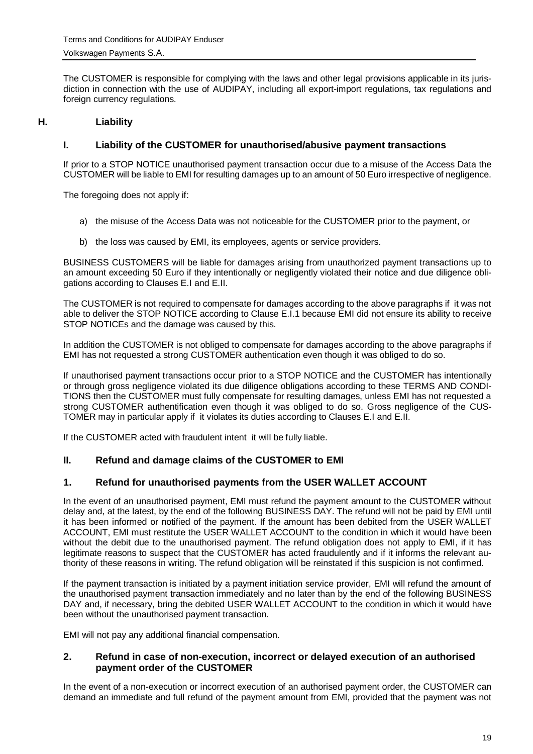The CUSTOMER is responsible for complying with the laws and other legal provisions applicable in its jurisdiction in connection with the use of AUDIPAY, including all export-import regulations, tax regulations and foreign currency regulations.

# <span id="page-18-0"></span>**H. Liability**

## <span id="page-18-1"></span>**I. Liability of the CUSTOMER for unauthorised/abusive payment transactions**

If prior to a STOP NOTICE unauthorised payment transaction occur due to a misuse of the Access Data the CUSTOMER will be liable to EMI for resulting damages up to an amount of 50 Euro irrespective of negligence.

The foregoing does not apply if:

- a) the misuse of the Access Data was not noticeable for the CUSTOMER prior to the payment, or
- b) the loss was caused by EMI, its employees, agents or service providers.

BUSINESS CUSTOMERS will be liable for damages arising from unauthorized payment transactions up to an amount exceeding 50 Euro if they intentionally or negligently violated their notice and due diligence obligations according to Clauses E.I and E.II.

The CUSTOMER is not required to compensate for damages according to the above paragraphs if it was not able to deliver the STOP NOTICE according to Clause E.I.1 because EMI did not ensure its ability to receive STOP NOTICEs and the damage was caused by this.

In addition the CUSTOMER is not obliged to compensate for damages according to the above paragraphs if EMI has not requested a strong CUSTOMER authentication even though it was obliged to do so.

If unauthorised payment transactions occur prior to a STOP NOTICE and the CUSTOMER has intentionally or through gross negligence violated its due diligence obligations according to these TERMS AND CONDI-TIONS then the CUSTOMER must fully compensate for resulting damages, unless EMI has not requested a strong CUSTOMER authentification even though it was obliged to do so. Gross negligence of the CUS-TOMER may in particular apply if it violates its duties according to Clauses E.I and E.II.

<span id="page-18-2"></span>If the CUSTOMER acted with fraudulent intent it will be fully liable.

#### **II. Refund and damage claims of the CUSTOMER to EMI**

#### <span id="page-18-3"></span>**1. Refund for unauthorised payments from the USER WALLET ACCOUNT**

In the event of an unauthorised payment, EMI must refund the payment amount to the CUSTOMER without delay and, at the latest, by the end of the following BUSINESS DAY. The refund will not be paid by EMI until it has been informed or notified of the payment. If the amount has been debited from the USER WALLET ACCOUNT, EMI must restitute the USER WALLET ACCOUNT to the condition in which it would have been without the debit due to the unauthorised payment. The refund obligation does not apply to EMI, if it has legitimate reasons to suspect that the CUSTOMER has acted fraudulently and if it informs the relevant authority of these reasons in writing. The refund obligation will be reinstated if this suspicion is not confirmed.

If the payment transaction is initiated by a payment initiation service provider, EMI will refund the amount of the unauthorised payment transaction immediately and no later than by the end of the following BUSINESS DAY and, if necessary, bring the debited USER WALLET ACCOUNT to the condition in which it would have been without the unauthorised payment transaction.

<span id="page-18-4"></span>EMI will not pay any additional financial compensation.

#### **2. Refund in case of non-execution, incorrect or delayed execution of an authorised payment order of the CUSTOMER**

In the event of a non-execution or incorrect execution of an authorised payment order, the CUSTOMER can demand an immediate and full refund of the payment amount from EMI, provided that the payment was not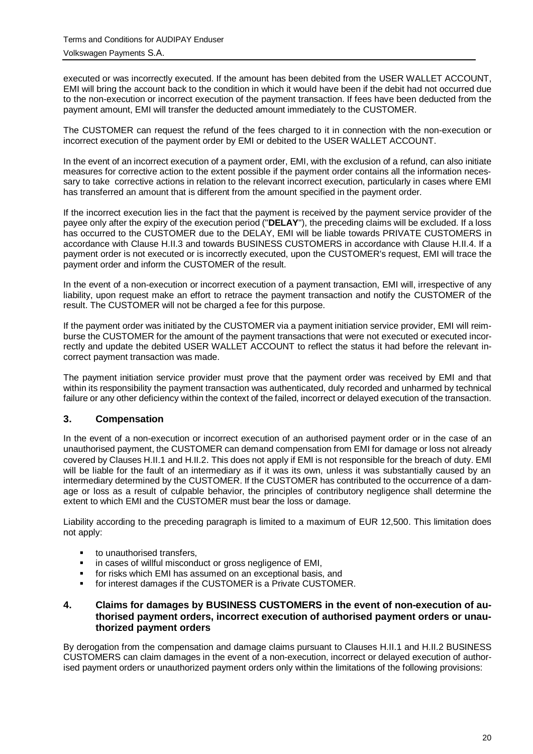executed or was incorrectly executed. If the amount has been debited from the USER WALLET ACCOUNT, EMI will bring the account back to the condition in which it would have been if the debit had not occurred due to the non-execution or incorrect execution of the payment transaction. If fees have been deducted from the payment amount, EMI will transfer the deducted amount immediately to the CUSTOMER.

The CUSTOMER can request the refund of the fees charged to it in connection with the non-execution or incorrect execution of the payment order by EMI or debited to the USER WALLET ACCOUNT.

In the event of an incorrect execution of a payment order, EMI, with the exclusion of a refund, can also initiate measures for corrective action to the extent possible if the payment order contains all the information necessary to take corrective actions in relation to the relevant incorrect execution, particularly in cases where EMI has transferred an amount that is different from the amount specified in the payment order.

If the incorrect execution lies in the fact that the payment is received by the payment service provider of the payee only after the expiry of the execution period ("**DELAY**"), the preceding claims will be excluded. If a loss has occurred to the CUSTOMER due to the DELAY, EMI will be liable towards PRIVATE CUSTOMERS in accordance with Clause H.II.3 and towards BUSINESS CUSTOMERS in accordance with Clause H.II.4. If a payment order is not executed or is incorrectly executed, upon the CUSTOMER's request, EMI will trace the payment order and inform the CUSTOMER of the result.

In the event of a non-execution or incorrect execution of a payment transaction, EMI will, irrespective of any liability, upon request make an effort to retrace the payment transaction and notify the CUSTOMER of the result. The CUSTOMER will not be charged a fee for this purpose.

If the payment order was initiated by the CUSTOMER via a payment initiation service provider, EMI will reimburse the CUSTOMER for the amount of the payment transactions that were not executed or executed incorrectly and update the debited USER WALLET ACCOUNT to reflect the status it had before the relevant incorrect payment transaction was made.

The payment initiation service provider must prove that the payment order was received by EMI and that within its responsibility the payment transaction was authenticated, duly recorded and unharmed by technical failure or any other deficiency within the context of the failed, incorrect or delayed execution of the transaction.

# <span id="page-19-0"></span>**3. Compensation**

In the event of a non-execution or incorrect execution of an authorised payment order or in the case of an unauthorised payment, the CUSTOMER can demand compensation from EMI for damage or loss not already covered by Clauses H.II.1 and H.II.2. This does not apply if EMI is not responsible for the breach of duty. EMI will be liable for the fault of an intermediary as if it was its own, unless it was substantially caused by an intermediary determined by the CUSTOMER. If the CUSTOMER has contributed to the occurrence of a damage or loss as a result of culpable behavior, the principles of contributory negligence shall determine the extent to which EMI and the CUSTOMER must bear the loss or damage.

Liability according to the preceding paragraph is limited to a maximum of EUR 12,500. This limitation does not apply:

- **to unauthorised transfers,**
- **EXECT:** in cases of willful misconduct or gross negligence of EMI,
- for risks which EMI has assumed on an exceptional basis, and
- for interest damages if the CUSTOMER is a Private CUSTOMER.

#### <span id="page-19-1"></span>**4. Claims for damages by BUSINESS CUSTOMERS in the event of non-execution of authorised payment orders, incorrect execution of authorised payment orders or unauthorized payment orders**

By derogation from the compensation and damage claims pursuant to Clauses H.II.1 and H.II.2 BUSINESS CUSTOMERS can claim damages in the event of a non-execution, incorrect or delayed execution of authorised payment orders or unauthorized payment orders only within the limitations of the following provisions: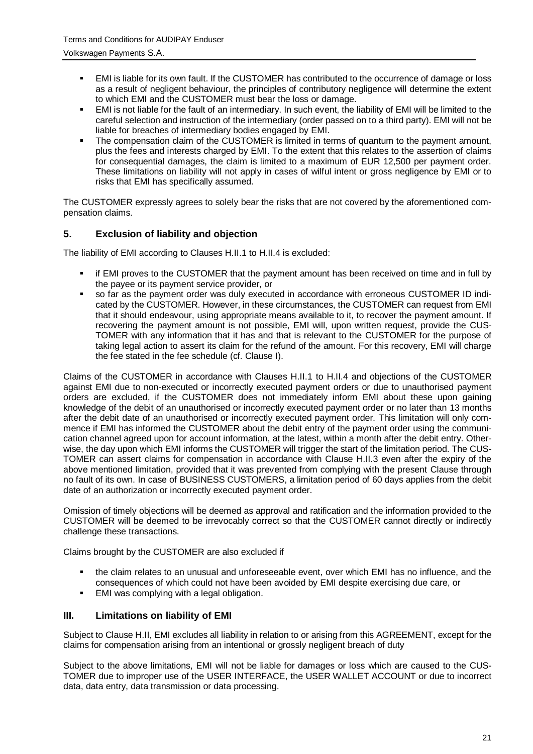- EMI is liable for its own fault. If the CUSTOMER has contributed to the occurrence of damage or loss as a result of negligent behaviour, the principles of contributory negligence will determine the extent to which EMI and the CUSTOMER must bear the loss or damage.
- EMI is not liable for the fault of an intermediary. In such event, the liability of EMI will be limited to the careful selection and instruction of the intermediary (order passed on to a third party). EMI will not be liable for breaches of intermediary bodies engaged by EMI.
- The compensation claim of the CUSTOMER is limited in terms of quantum to the payment amount, plus the fees and interests charged by EMI. To the extent that this relates to the assertion of claims for consequential damages, the claim is limited to a maximum of EUR 12,500 per payment order. These limitations on liability will not apply in cases of wilful intent or gross negligence by EMI or to risks that EMI has specifically assumed.

The CUSTOMER expressly agrees to solely bear the risks that are not covered by the aforementioned compensation claims.

# <span id="page-20-0"></span>**5. Exclusion of liability and objection**

The liability of EMI according to Clauses H.II.1 to H.II.4 is excluded:

- if EMI proves to the CUSTOMER that the payment amount has been received on time and in full by the payee or its payment service provider, or
- so far as the payment order was duly executed in accordance with erroneous CUSTOMER ID indicated by the CUSTOMER. However, in these circumstances, the CUSTOMER can request from EMI that it should endeavour, using appropriate means available to it, to recover the payment amount. If recovering the payment amount is not possible, EMI will, upon written request, provide the CUS-TOMER with any information that it has and that is relevant to the CUSTOMER for the purpose of taking legal action to assert its claim for the refund of the amount. For this recovery, EMI will charge the fee stated in the fee schedule (cf. Clause I).

Claims of the CUSTOMER in accordance with Clauses H.II.1 to H.II.4 and objections of the CUSTOMER against EMI due to non-executed or incorrectly executed payment orders or due to unauthorised payment orders are excluded, if the CUSTOMER does not immediately inform EMI about these upon gaining knowledge of the debit of an unauthorised or incorrectly executed payment order or no later than 13 months after the debit date of an unauthorised or incorrectly executed payment order. This limitation will only commence if EMI has informed the CUSTOMER about the debit entry of the payment order using the communication channel agreed upon for account information, at the latest, within a month after the debit entry. Otherwise, the day upon which EMI informs the CUSTOMER will trigger the start of the limitation period. The CUS-TOMER can assert claims for compensation in accordance with Clause H.II.3 even after the expiry of the above mentioned limitation, provided that it was prevented from complying with the present Clause through no fault of its own. In case of BUSINESS CUSTOMERS, a limitation period of 60 days applies from the debit date of an authorization or incorrectly executed payment order.

Omission of timely objections will be deemed as approval and ratification and the information provided to the CUSTOMER will be deemed to be irrevocably correct so that the CUSTOMER cannot directly or indirectly challenge these transactions.

Claims brought by the CUSTOMER are also excluded if

- the claim relates to an unusual and unforeseeable event, over which EMI has no influence, and the consequences of which could not have been avoided by EMI despite exercising due care, or
- **EMI** was complying with a legal obligation.

#### <span id="page-20-1"></span>**III. Limitations on liability of EMI**

Subject to Clause H.II, EMI excludes all liability in relation to or arising from this AGREEMENT, except for the claims for compensation arising from an intentional or grossly negligent breach of duty

Subject to the above limitations, EMI will not be liable for damages or loss which are caused to the CUS-TOMER due to improper use of the USER INTERFACE, the USER WALLET ACCOUNT or due to incorrect data, data entry, data transmission or data processing.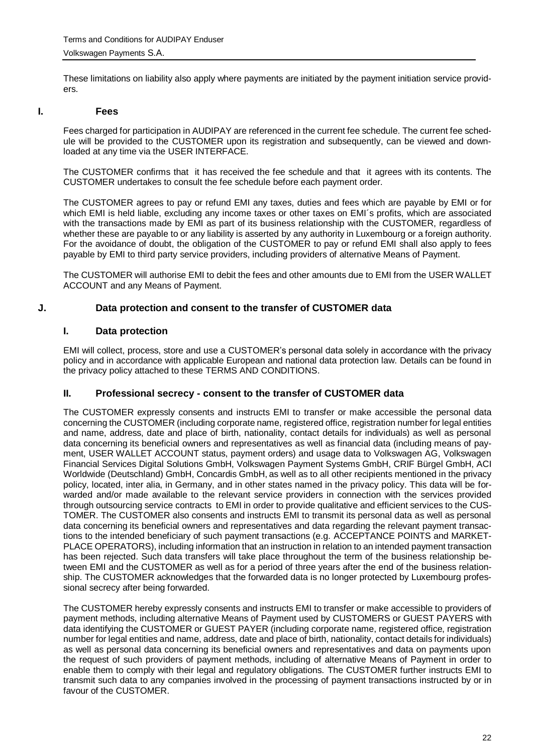<span id="page-21-0"></span>These limitations on liability also apply where payments are initiated by the payment initiation service provid- $_{\mathsf{arc}}$ 

#### **I. Fees**

Fees charged for participation in AUDIPAY are referenced in the current fee schedule. The current fee schedule will be provided to the CUSTOMER upon its registration and subsequently, can be viewed and downloaded at any time via the USER INTERFACE.

The CUSTOMER confirms that it has received the fee schedule and that it agrees with its contents. The CUSTOMER undertakes to consult the fee schedule before each payment order.

The CUSTOMER agrees to pay or refund EMI any taxes, duties and fees which are payable by EMI or for which EMI is held liable, excluding any income taxes or other taxes on EMI's profits, which are associated with the transactions made by EMI as part of its business relationship with the CUSTOMER, regardless of whether these are payable to or any liability is asserted by any authority in Luxembourg or a foreign authority. For the avoidance of doubt, the obligation of the CUSTOMER to pay or refund EMI shall also apply to fees payable by EMI to third party service providers, including providers of alternative Means of Payment.

<span id="page-21-1"></span>The CUSTOMER will authorise EMI to debit the fees and other amounts due to EMI from the USER WALLET ACCOUNT and any Means of Payment.

#### **J. Data protection and consent to the transfer of CUSTOMER data**

#### <span id="page-21-2"></span>**I. Data protection**

EMI will collect, process, store and use a CUSTOMER's personal data solely in accordance with the privacy policy and in accordance with applicable European and national data protection law. Details can be found in the privacy policy attached to these TERMS AND CONDITIONS.

#### <span id="page-21-3"></span>**II. Professional secrecy - consent to the transfer of CUSTOMER data**

The CUSTOMER expressly consents and instructs EMI to transfer or make accessible the personal data concerning the CUSTOMER (including corporate name, registered office, registration number for legal entities and name, address, date and place of birth, nationality, contact details for individuals) as well as personal data concerning its beneficial owners and representatives as well as financial data (including means of payment, USER WALLET ACCOUNT status, payment orders) and usage data to Volkswagen AG, Volkswagen Financial Services Digital Solutions GmbH, Volkswagen Payment Systems GmbH, CRIF Bürgel GmbH, ACI Worldwide (Deutschland) GmbH, Concardis GmbH, as well as to all other recipients mentioned in the privacy policy, located, inter alia, in Germany, and in other states named in the privacy policy. This data will be forwarded and/or made available to the relevant service providers in connection with the services provided through outsourcing service contracts to EMI in order to provide qualitative and efficient services to the CUS-TOMER. The CUSTOMER also consents and instructs EMI to transmit its personal data as well as personal data concerning its beneficial owners and representatives and data regarding the relevant payment transactions to the intended beneficiary of such payment transactions (e.g. ACCEPTANCE POINTS and MARKET-PLACE OPERATORS), including information that an instruction in relation to an intended payment transaction has been rejected. Such data transfers will take place throughout the term of the business relationship between EMI and the CUSTOMER as well as for a period of three years after the end of the business relationship. The CUSTOMER acknowledges that the forwarded data is no longer protected by Luxembourg professional secrecy after being forwarded.

The CUSTOMER hereby expressly consents and instructs EMI to transfer or make accessible to providers of payment methods, including alternative Means of Payment used by CUSTOMERS or GUEST PAYERS with data identifying the CUSTOMER or GUEST PAYER (including corporate name, registered office, registration number for legal entities and name, address, date and place of birth, nationality, contact details for individuals) as well as personal data concerning its beneficial owners and representatives and data on payments upon the request of such providers of payment methods, including of alternative Means of Payment in order to enable them to comply with their legal and regulatory obligations. The CUSTOMER further instructs EMI to transmit such data to any companies involved in the processing of payment transactions instructed by or in favour of the CUSTOMER.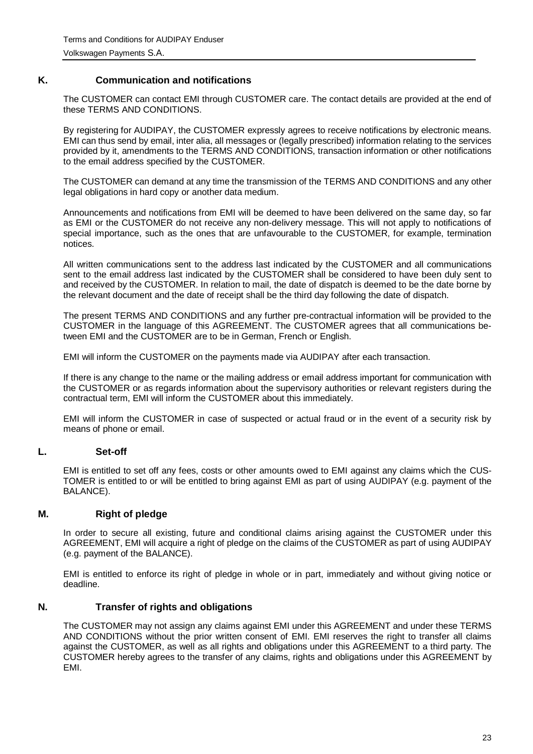# **K. Communication and notifications**

<span id="page-22-0"></span>The CUSTOMER can contact EMI through CUSTOMER care. The contact details are provided at the end of these TERMS AND CONDITIONS.

By registering for AUDIPAY, the CUSTOMER expressly agrees to receive notifications by electronic means. EMI can thus send by email, inter alia, all messages or (legally prescribed) information relating to the services provided by it, amendments to the TERMS AND CONDITIONS, transaction information or other notifications to the email address specified by the CUSTOMER.

The CUSTOMER can demand at any time the transmission of the TERMS AND CONDITIONS and any other legal obligations in hard copy or another data medium.

Announcements and notifications from EMI will be deemed to have been delivered on the same day, so far as EMI or the CUSTOMER do not receive any non-delivery message. This will not apply to notifications of special importance, such as the ones that are unfavourable to the CUSTOMER, for example, termination notices.

All written communications sent to the address last indicated by the CUSTOMER and all communications sent to the email address last indicated by the CUSTOMER shall be considered to have been duly sent to and received by the CUSTOMER. In relation to mail, the date of dispatch is deemed to be the date borne by the relevant document and the date of receipt shall be the third day following the date of dispatch.

The present TERMS AND CONDITIONS and any further pre-contractual information will be provided to the CUSTOMER in the language of this AGREEMENT. The CUSTOMER agrees that all communications between EMI and the CUSTOMER are to be in German, French or English.

EMI will inform the CUSTOMER on the payments made via AUDIPAY after each transaction.

If there is any change to the name or the mailing address or email address important for communication with the CUSTOMER or as regards information about the supervisory authorities or relevant registers during the contractual term, EMI will inform the CUSTOMER about this immediately.

<span id="page-22-1"></span>EMI will inform the CUSTOMER in case of suspected or actual fraud or in the event of a security risk by means of phone or email.

#### **L. Set-off**

EMI is entitled to set off any fees, costs or other amounts owed to EMI against any claims which the CUS-TOMER is entitled to or will be entitled to bring against EMI as part of using AUDIPAY (e.g. payment of the BALANCE).

#### <span id="page-22-2"></span>**M. Right of pledge**

In order to secure all existing, future and conditional claims arising against the CUSTOMER under this AGREEMENT, EMI will acquire a right of pledge on the claims of the CUSTOMER as part of using AUDIPAY (e.g. payment of the BALANCE).

<span id="page-22-3"></span>EMI is entitled to enforce its right of pledge in whole or in part, immediately and without giving notice or deadline.

#### **N. Transfer of rights and obligations**

The CUSTOMER may not assign any claims against EMI under this AGREEMENT and under these TERMS AND CONDITIONS without the prior written consent of EMI. EMI reserves the right to transfer all claims against the CUSTOMER, as well as all rights and obligations under this AGREEMENT to a third party. The CUSTOMER hereby agrees to the transfer of any claims, rights and obligations under this AGREEMENT by EMI.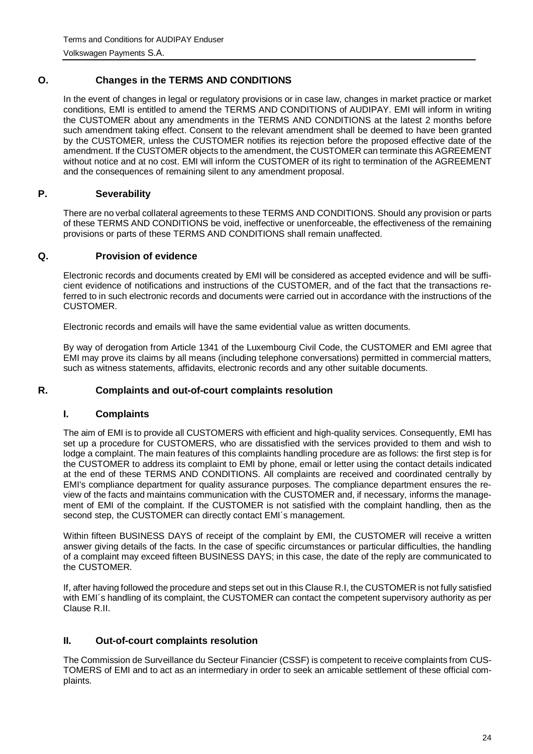# **O. Changes in the TERMS AND CONDITIONS**

<span id="page-23-0"></span>In the event of changes in legal or regulatory provisions or in case law, changes in market practice or market conditions, EMI is entitled to amend the TERMS AND CONDITIONS of AUDIPAY. EMI will inform in writing the CUSTOMER about any amendments in the TERMS AND CONDITIONS at the latest 2 months before such amendment taking effect. Consent to the relevant amendment shall be deemed to have been granted by the CUSTOMER, unless the CUSTOMER notifies its rejection before the proposed effective date of the amendment. If the CUSTOMER objects to the amendment, the CUSTOMER can terminate this AGREEMENT without notice and at no cost. EMI will inform the CUSTOMER of its right to termination of the AGREEMENT and the consequences of remaining silent to any amendment proposal.

# <span id="page-23-1"></span>**P. Severability**

There are no verbal collateral agreements to these TERMS AND CONDITIONS. Should any provision or parts of these TERMS AND CONDITIONS be void, ineffective or unenforceable, the effectiveness of the remaining provisions or parts of these TERMS AND CONDITIONS shall remain unaffected.

# <span id="page-23-2"></span>**Q. Provision of evidence**

Electronic records and documents created by EMI will be considered as accepted evidence and will be sufficient evidence of notifications and instructions of the CUSTOMER, and of the fact that the transactions referred to in such electronic records and documents were carried out in accordance with the instructions of the CUSTOMER.

Electronic records and emails will have the same evidential value as written documents.

By way of derogation from Article 1341 of the Luxembourg Civil Code, the CUSTOMER and EMI agree that EMI may prove its claims by all means (including telephone conversations) permitted in commercial matters, such as witness statements, affidavits, electronic records and any other suitable documents.

# <span id="page-23-3"></span>**R. Complaints and out-of-court complaints resolution**

# <span id="page-23-4"></span>**I. Complaints**

The aim of EMI is to provide all CUSTOMERS with efficient and high-quality services. Consequently, EMI has set up a procedure for CUSTOMERS, who are dissatisfied with the services provided to them and wish to lodge a complaint. The main features of this complaints handling procedure are as follows: the first step is for the CUSTOMER to address its complaint to EMI by phone, email or letter using the contact details indicated at the end of these TERMS AND CONDITIONS. All complaints are received and coordinated centrally by EMI's compliance department for quality assurance purposes. The compliance department ensures the review of the facts and maintains communication with the CUSTOMER and, if necessary, informs the management of EMI of the complaint. If the CUSTOMER is not satisfied with the complaint handling, then as the second step, the CUSTOMER can directly contact EMI's management.

Within fifteen BUSINESS DAYS of receipt of the complaint by EMI, the CUSTOMER will receive a written answer giving details of the facts. In the case of specific circumstances or particular difficulties, the handling of a complaint may exceed fifteen BUSINESS DAYS; in this case, the date of the reply are communicated to the CUSTOMER.

If, after having followed the procedure and steps set out in this Clause R.I, the CUSTOMER is not fully satisfied with EMI´s handling of its complaint, the CUSTOMER can contact the competent supervisory authority as per Clause R.II.

# <span id="page-23-5"></span>**II. Out-of-court complaints resolution**

The Commission de Surveillance du Secteur Financier (CSSF) is competent to receive complaints from CUS-TOMERS of EMI and to act as an intermediary in order to seek an amicable settlement of these official complaints.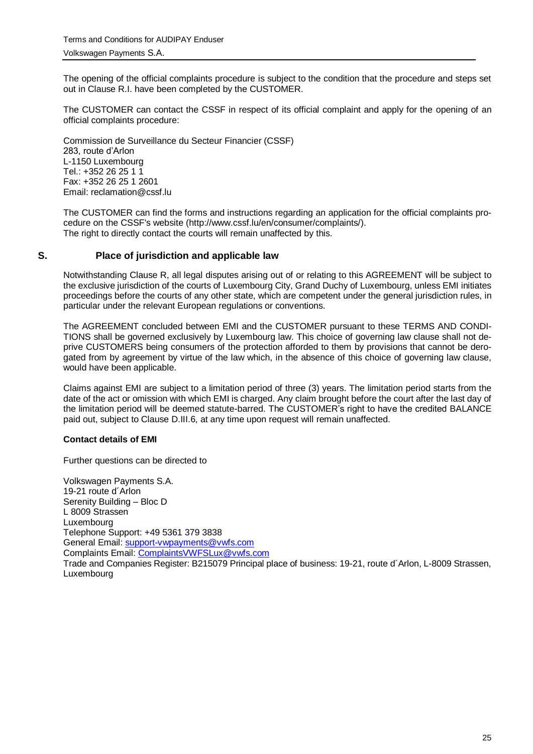The opening of the official complaints procedure is subject to the condition that the procedure and steps set out in Clause R.I. have been completed by the CUSTOMER.

The CUSTOMER can contact the CSSF in respect of its official complaint and apply for the opening of an official complaints procedure:

Commission de Surveillance du Secteur Financier (CSSF) 283, route d'Arlon L-1150 Luxembourg Tel.: +352 26 25 1 1 Fax: +352 26 25 1 2601 Email: reclamation@cssf.lu

The CUSTOMER can find the forms and instructions regarding an application for the official complaints procedure on the CSSF's website [\(http://www.cssf.lu/en/consumer/complaints/\)](http://www.cssf.lu/en/consumer/complaints/). The right to directly contact the courts will remain unaffected by this.

#### <span id="page-24-0"></span>**S. Place of jurisdiction and applicable law**

Notwithstanding Clause R, all legal disputes arising out of or relating to this AGREEMENT will be subject to the exclusive jurisdiction of the courts of Luxembourg City, Grand Duchy of Luxembourg, unless EMI initiates proceedings before the courts of any other state, which are competent under the general jurisdiction rules, in particular under the relevant European regulations or conventions.

The AGREEMENT concluded between EMI and the CUSTOMER pursuant to these TERMS AND CONDI-TIONS shall be governed exclusively by Luxembourg law. This choice of governing law clause shall not deprive CUSTOMERS being consumers of the protection afforded to them by provisions that cannot be derogated from by agreement by virtue of the law which, in the absence of this choice of governing law clause, would have been applicable.

Claims against EMI are subject to a limitation period of three (3) years. The limitation period starts from the date of the act or omission with which EMI is charged. Any claim brought before the court after the last day of the limitation period will be deemed statute-barred. The CUSTOMER's right to have the credited BALANCE paid out, subject to Clause D.III.6, at any time upon request will remain unaffected.

#### **Contact details of EMI**

Further questions can be directed to

Volkswagen Payments S.A. 19-21 route d´Arlon Serenity Building – Bloc D L 8009 Strassen Luxembourg Telephone Support: +49 5361 379 3838 General Email: [support-vwpayments@vwfs.com](mailto:support-vwpayments@vwfs.com) Complaints Email: [ComplaintsVWFSLux@vwfs.com](mailto:ComplaintsVWFSLux@vwfs.com) Trade and Companies Register: B215079 Principal place of business: 19-21, route d´Arlon, L-8009 Strassen, Luxembourg